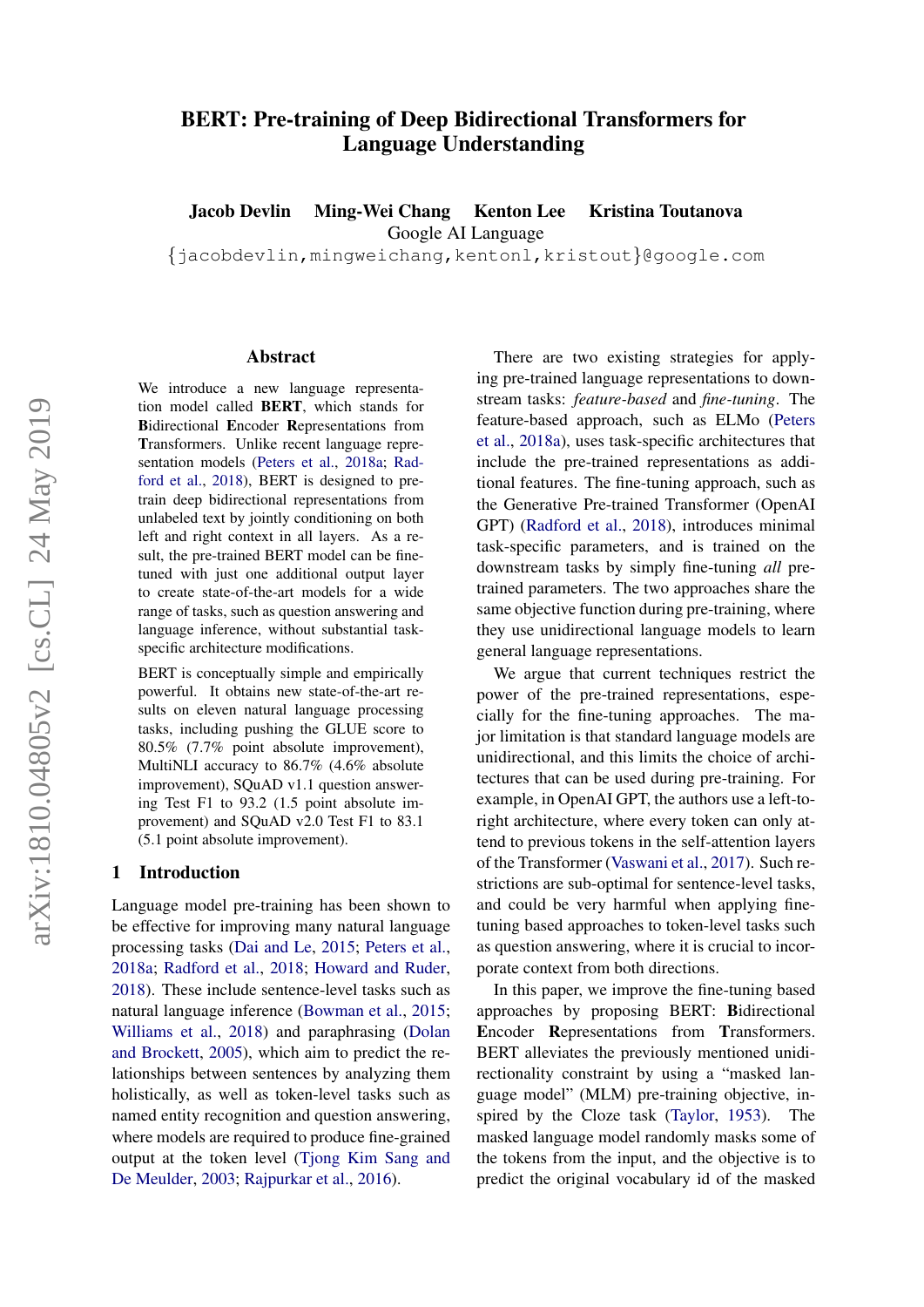# BERT: Pre-training of Deep Bidirectional Transformers for Language Understanding

Jacob Devlin Ming-Wei Chang Kenton Lee Kristina Toutanova Google AI Language

{jacobdevlin,mingweichang,kentonl,kristout}@google.com

### Abstract

We introduce a new language representation model called BERT, which stands for Bidirectional Encoder Representations from Transformers. Unlike recent language representation models [\(Peters et al.,](#page-10-0) [2018a;](#page-10-0) [Rad](#page-10-1)[ford et al.,](#page-10-1) [2018\)](#page-10-1), BERT is designed to pretrain deep bidirectional representations from unlabeled text by jointly conditioning on both left and right context in all layers. As a result, the pre-trained BERT model can be finetuned with just one additional output layer to create state-of-the-art models for a wide range of tasks, such as question answering and language inference, without substantial taskspecific architecture modifications.

BERT is conceptually simple and empirically powerful. It obtains new state-of-the-art results on eleven natural language processing tasks, including pushing the GLUE score to 80.5% (7.7% point absolute improvement), MultiNLI accuracy to 86.7% (4.6% absolute improvement), SQuAD v1.1 question answering Test F1 to 93.2 (1.5 point absolute improvement) and SQuAD v2.0 Test F1 to 83.1 (5.1 point absolute improvement).

### 1 Introduction

Language model pre-training has been shown to be effective for improving many natural language processing tasks [\(Dai and Le,](#page-9-0) [2015;](#page-9-0) [Peters et al.,](#page-10-0) [2018a;](#page-10-0) [Radford et al.,](#page-10-1) [2018;](#page-10-1) [Howard and Ruder,](#page-9-1) [2018\)](#page-9-1). These include sentence-level tasks such as natural language inference [\(Bowman et al.,](#page-9-2) [2015;](#page-9-2) [Williams et al.,](#page-11-0) [2018\)](#page-11-0) and paraphrasing [\(Dolan](#page-9-3) [and Brockett,](#page-9-3) [2005\)](#page-9-3), which aim to predict the relationships between sentences by analyzing them holistically, as well as token-level tasks such as named entity recognition and question answering, where models are required to produce fine-grained output at the token level [\(Tjong Kim Sang and](#page-10-2) [De Meulder,](#page-10-2) [2003;](#page-10-2) [Rajpurkar et al.,](#page-10-3) [2016\)](#page-10-3).

There are two existing strategies for applying pre-trained language representations to downstream tasks: *feature-based* and *fine-tuning*. The feature-based approach, such as ELMo [\(Peters](#page-10-0) [et al.,](#page-10-0) [2018a\)](#page-10-0), uses task-specific architectures that include the pre-trained representations as additional features. The fine-tuning approach, such as the Generative Pre-trained Transformer (OpenAI GPT) [\(Radford et al.,](#page-10-1) [2018\)](#page-10-1), introduces minimal task-specific parameters, and is trained on the downstream tasks by simply fine-tuning *all* pretrained parameters. The two approaches share the same objective function during pre-training, where they use unidirectional language models to learn general language representations.

We argue that current techniques restrict the power of the pre-trained representations, especially for the fine-tuning approaches. The major limitation is that standard language models are unidirectional, and this limits the choice of architectures that can be used during pre-training. For example, in OpenAI GPT, the authors use a left-toright architecture, where every token can only attend to previous tokens in the self-attention layers of the Transformer [\(Vaswani et al.,](#page-10-4) [2017\)](#page-10-4). Such restrictions are sub-optimal for sentence-level tasks, and could be very harmful when applying finetuning based approaches to token-level tasks such as question answering, where it is crucial to incorporate context from both directions.

In this paper, we improve the fine-tuning based approaches by proposing BERT: Bidirectional Encoder Representations from Transformers. BERT alleviates the previously mentioned unidirectionality constraint by using a "masked language model" (MLM) pre-training objective, inspired by the Cloze task [\(Taylor,](#page-10-5) [1953\)](#page-10-5). The masked language model randomly masks some of the tokens from the input, and the objective is to predict the original vocabulary id of the masked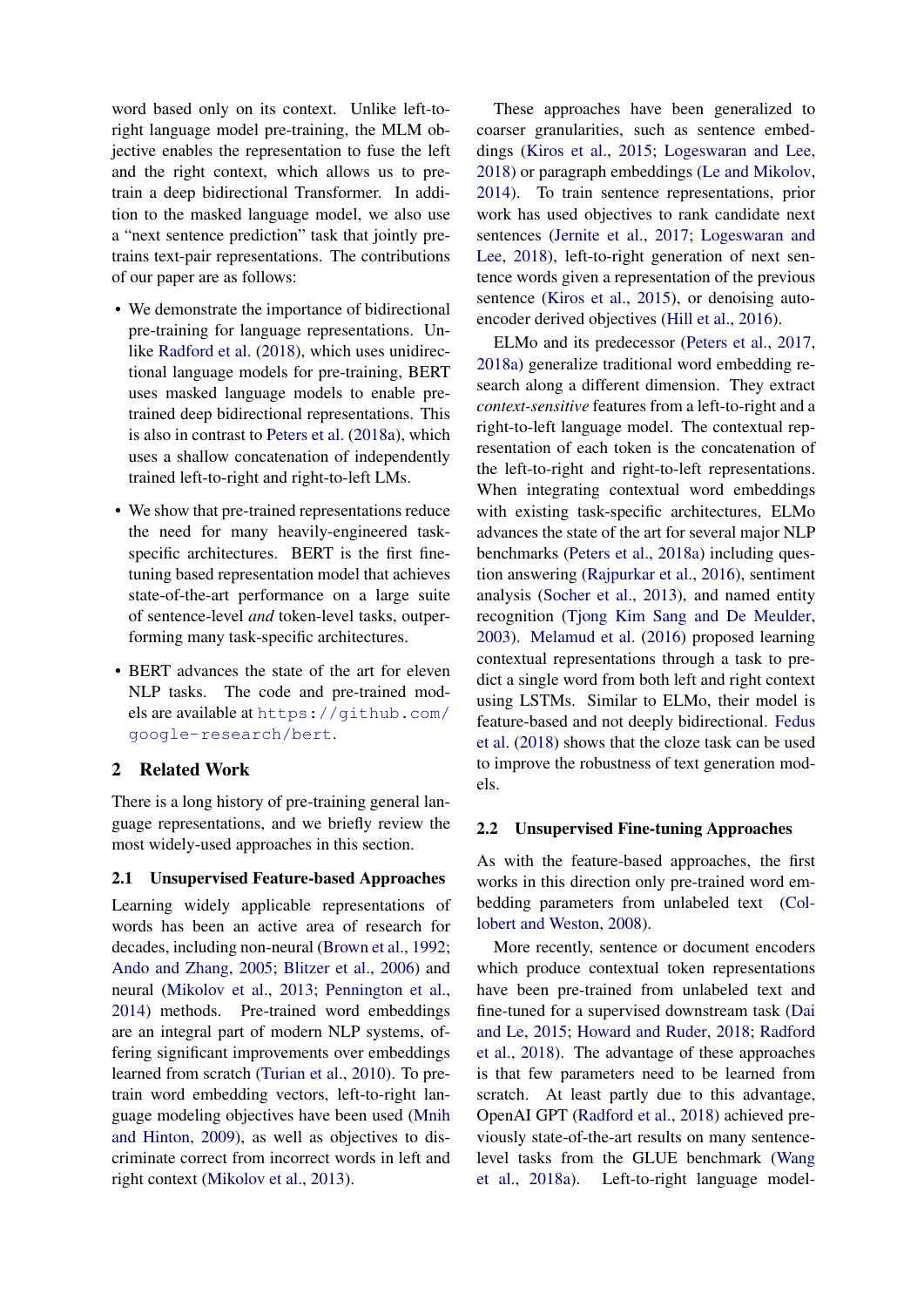word based only on its context. Unlike left-toright language model pre-training, the MLM objective enables the representation to fuse the left and the right context, which allows us to pretrain a deep bidirectional Transformer. In addition to the masked language model, we also use a "next sentence prediction" task that jointly pretrains text-pair representations. The contributions of our paper are as follows:

- We demonstrate the importance of bidirectional pre-training for language representations. Unlike [Radford et al.](#page-10-1) [\(2018\)](#page-10-1), which uses unidirectional language models for pre-training, BERT uses masked language models to enable pretrained deep bidirectional representations. This is also in contrast to [Peters et al.](#page-10-0) [\(2018a\)](#page-10-0), which uses a shallow concatenation of independently trained left-to-right and right-to-left LMs.
- We show that pre-trained representations reduce the need for many heavily-engineered taskspecific architectures. BERT is the first finetuning based representation model that achieves state-of-the-art performance on a large suite of sentence-level *and* token-level tasks, outperforming many task-specific architectures.
- BERT advances the state of the art for eleven NLP tasks. The code and pre-trained models are available at [https://github.com/](https://github.com/google-research/bert) [google-research/bert](https://github.com/google-research/bert).

### 2 Related Work

There is a long history of pre-training general language representations, and we briefly review the most widely-used approaches in this section.

#### 2.1 Unsupervised Feature-based Approaches

Learning widely applicable representations of words has been an active area of research for decades, including non-neural [\(Brown et al.,](#page-9-4) [1992;](#page-9-4) [Ando and Zhang,](#page-9-5) [2005;](#page-9-5) [Blitzer et al.,](#page-9-6) [2006\)](#page-9-6) and neural [\(Mikolov et al.,](#page-10-6) [2013;](#page-10-6) [Pennington et al.,](#page-10-7) [2014\)](#page-10-7) methods. Pre-trained word embeddings are an integral part of modern NLP systems, offering significant improvements over embeddings learned from scratch [\(Turian et al.,](#page-10-8) [2010\)](#page-10-8). To pretrain word embedding vectors, left-to-right language modeling objectives have been used [\(Mnih](#page-10-9) [and Hinton,](#page-10-9) [2009\)](#page-10-9), as well as objectives to discriminate correct from incorrect words in left and right context [\(Mikolov et al.,](#page-10-6) [2013\)](#page-10-6).

These approaches have been generalized to coarser granularities, such as sentence embeddings [\(Kiros et al.,](#page-10-10) [2015;](#page-10-10) [Logeswaran and Lee,](#page-10-11) [2018\)](#page-10-11) or paragraph embeddings [\(Le and Mikolov,](#page-10-12) [2014\)](#page-10-12). To train sentence representations, prior work has used objectives to rank candidate next sentences [\(Jernite et al.,](#page-9-7) [2017;](#page-9-7) [Logeswaran and](#page-10-11) [Lee,](#page-10-11) [2018\)](#page-10-11), left-to-right generation of next sentence words given a representation of the previous sentence [\(Kiros et al.,](#page-10-10) [2015\)](#page-10-10), or denoising autoencoder derived objectives [\(Hill et al.,](#page-9-8) [2016\)](#page-9-8).

ELMo and its predecessor [\(Peters et al.,](#page-10-13) [2017,](#page-10-13) [2018a\)](#page-10-0) generalize traditional word embedding research along a different dimension. They extract *context-sensitive* features from a left-to-right and a right-to-left language model. The contextual representation of each token is the concatenation of the left-to-right and right-to-left representations. When integrating contextual word embeddings with existing task-specific architectures, ELMo advances the state of the art for several major NLP benchmarks [\(Peters et al.,](#page-10-0) [2018a\)](#page-10-0) including question answering [\(Rajpurkar et al.,](#page-10-3) [2016\)](#page-10-3), sentiment analysis [\(Socher et al.,](#page-10-14) [2013\)](#page-10-14), and named entity recognition [\(Tjong Kim Sang and De Meulder,](#page-10-2) [2003\)](#page-10-2). [Melamud et al.](#page-10-15) [\(2016\)](#page-10-15) proposed learning contextual representations through a task to predict a single word from both left and right context using LSTMs. Similar to ELMo, their model is feature-based and not deeply bidirectional. [Fedus](#page-9-9) [et al.](#page-9-9) [\(2018\)](#page-9-9) shows that the cloze task can be used to improve the robustness of text generation models.

### 2.2 Unsupervised Fine-tuning Approaches

As with the feature-based approaches, the first works in this direction only pre-trained word embedding parameters from unlabeled text [\(Col](#page-9-10)[lobert and Weston,](#page-9-10) [2008\)](#page-9-10).

More recently, sentence or document encoders which produce contextual token representations have been pre-trained from unlabeled text and fine-tuned for a supervised downstream task [\(Dai](#page-9-0) [and Le,](#page-9-0) [2015;](#page-9-0) [Howard and Ruder,](#page-9-1) [2018;](#page-9-1) [Radford](#page-10-1) [et al.,](#page-10-1) [2018\)](#page-10-1). The advantage of these approaches is that few parameters need to be learned from scratch. At least partly due to this advantage, OpenAI GPT [\(Radford et al.,](#page-10-1) [2018\)](#page-10-1) achieved previously state-of-the-art results on many sentencelevel tasks from the GLUE benchmark [\(Wang](#page-10-16) [et al.,](#page-10-16) [2018a\)](#page-10-16). Left-to-right language model-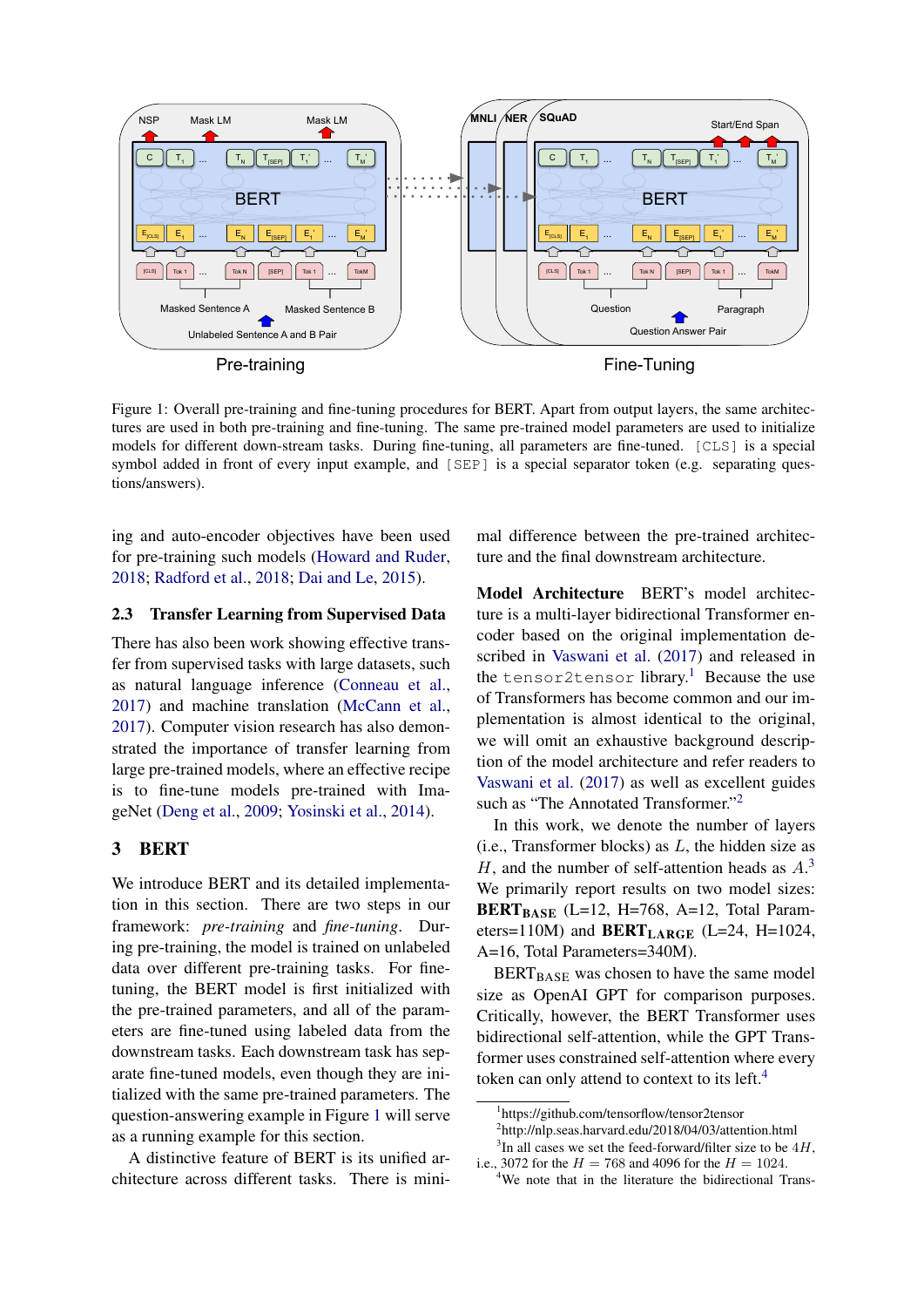<span id="page-2-0"></span>

Figure 1: Overall pre-training and fine-tuning procedures for BERT. Apart from output layers, the same architectures are used in both pre-training and fine-tuning. The same pre-trained model parameters are used to initialize models for different down-stream tasks. During fine-tuning, all parameters are fine-tuned. [CLS] is a special symbol added in front of every input example, and [SEP] is a special separator token (e.g. separating questions/answers).

ing and auto-encoder objectives have been used for pre-training such models [\(Howard and Ruder,](#page-9-1) [2018;](#page-9-1) [Radford et al.,](#page-10-1) [2018;](#page-10-1) [Dai and Le,](#page-9-0) [2015\)](#page-9-0).

### 2.3 Transfer Learning from Supervised Data

There has also been work showing effective transfer from supervised tasks with large datasets, such as natural language inference [\(Conneau et al.,](#page-9-11) [2017\)](#page-9-11) and machine translation [\(McCann et al.,](#page-10-17) [2017\)](#page-10-17). Computer vision research has also demonstrated the importance of transfer learning from large pre-trained models, where an effective recipe is to fine-tune models pre-trained with ImageNet [\(Deng et al.,](#page-9-12) [2009;](#page-9-12) [Yosinski et al.,](#page-11-1) [2014\)](#page-11-1).

### <span id="page-2-5"></span>3 BERT

We introduce BERT and its detailed implementation in this section. There are two steps in our framework: *pre-training* and *fine-tuning*. During pre-training, the model is trained on unlabeled data over different pre-training tasks. For finetuning, the BERT model is first initialized with the pre-trained parameters, and all of the parameters are fine-tuned using labeled data from the downstream tasks. Each downstream task has separate fine-tuned models, even though they are initialized with the same pre-trained parameters. The question-answering example in Figure [1](#page-2-0) will serve as a running example for this section.

A distinctive feature of BERT is its unified architecture across different tasks. There is minimal difference between the pre-trained architecture and the final downstream architecture.

Model Architecture BERT's model architecture is a multi-layer bidirectional Transformer encoder based on the original implementation described in [Vaswani et al.](#page-10-4) [\(2017\)](#page-10-4) and released in the tensor2tensor library.<sup>[1](#page-2-1)</sup> Because the use of Transformers has become common and our implementation is almost identical to the original, we will omit an exhaustive background description of the model architecture and refer readers to [Vaswani et al.](#page-10-4) [\(2017\)](#page-10-4) as well as excellent guides such as "The Annotated Transformer."[2](#page-2-2)

In this work, we denote the number of layers (i.e., Transformer blocks) as  $L$ , the hidden size as H, and the number of self-attention heads as  $A$ .<sup>[3](#page-2-3)</sup> We primarily report results on two model sizes: BERT $_{BASE}$  (L=12, H=768, A=12, Total Parameters=110M) and **BERT**<sub>LARGE</sub> (L=24, H=1024, A=16, Total Parameters=340M).

BERT<sub>BASE</sub> was chosen to have the same model size as OpenAI GPT for comparison purposes. Critically, however, the BERT Transformer uses bidirectional self-attention, while the GPT Transformer uses constrained self-attention where every token can only attend to context to its left.<sup>[4](#page-2-4)</sup>

<span id="page-2-3"></span><span id="page-2-2"></span><span id="page-2-1"></span><sup>1</sup> https://github.com/tensorflow/tensor2tensor 2 http://nlp.seas.harvard.edu/2018/04/03/attention.html  $3$ In all cases we set the feed-forward/filter size to be  $4H$ ,

<span id="page-2-4"></span>i.e., 3072 for the  $H = 768$  and 4096 for the  $H = 1024$ . <sup>4</sup>We note that in the literature the bidirectional Trans-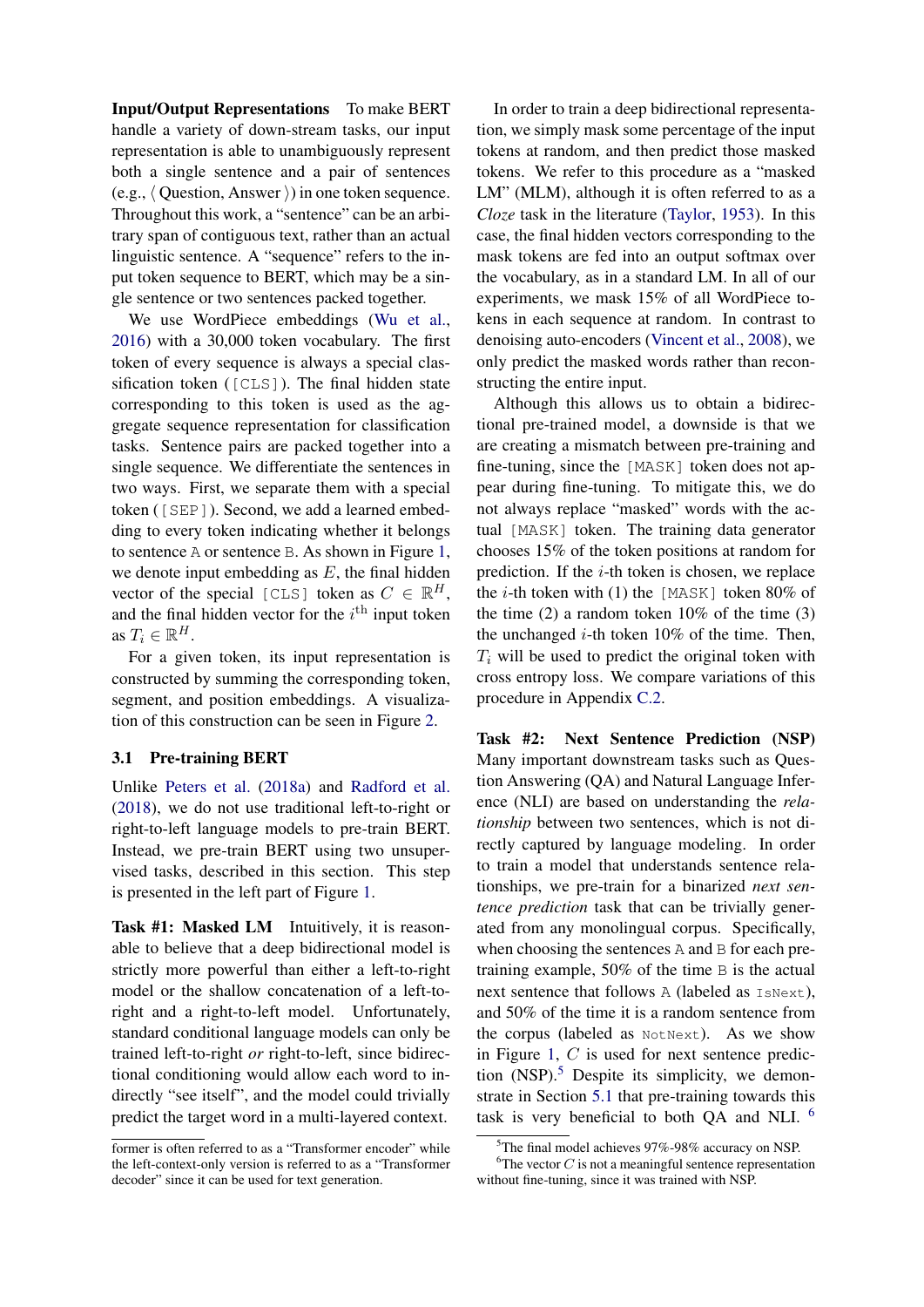Input/Output Representations To make BERT handle a variety of down-stream tasks, our input representation is able to unambiguously represent both a single sentence and a pair of sentences (e.g.,  $\langle$  Question, Answer $\rangle$ ) in one token sequence. Throughout this work, a "sentence" can be an arbitrary span of contiguous text, rather than an actual linguistic sentence. A "sequence" refers to the input token sequence to BERT, which may be a single sentence or two sentences packed together.

We use WordPiece embeddings [\(Wu et al.,](#page-11-2) [2016\)](#page-11-2) with a 30,000 token vocabulary. The first token of every sequence is always a special classification token ([CLS]). The final hidden state corresponding to this token is used as the aggregate sequence representation for classification tasks. Sentence pairs are packed together into a single sequence. We differentiate the sentences in two ways. First, we separate them with a special token ([SEP]). Second, we add a learned embedding to every token indicating whether it belongs to sentence A or sentence B. As shown in Figure [1,](#page-2-0) we denote input embedding as  $E$ , the final hidden vector of the special [CLS] token as  $C \in \mathbb{R}^H$ , and the final hidden vector for the  $i<sup>th</sup>$  input token as  $T_i \in \mathbb{R}^H$ .

For a given token, its input representation is constructed by summing the corresponding token, segment, and position embeddings. A visualization of this construction can be seen in Figure [2.](#page-4-0)

### <span id="page-3-2"></span>3.1 Pre-training BERT

Unlike [Peters et al.](#page-10-0) [\(2018a\)](#page-10-0) and [Radford et al.](#page-10-1) [\(2018\)](#page-10-1), we do not use traditional left-to-right or right-to-left language models to pre-train BERT. Instead, we pre-train BERT using two unsupervised tasks, described in this section. This step is presented in the left part of Figure [1.](#page-2-0)

Task #1: Masked LM Intuitively, it is reasonable to believe that a deep bidirectional model is strictly more powerful than either a left-to-right model or the shallow concatenation of a left-toright and a right-to-left model. Unfortunately, standard conditional language models can only be trained left-to-right *or* right-to-left, since bidirectional conditioning would allow each word to indirectly "see itself", and the model could trivially predict the target word in a multi-layered context.

In order to train a deep bidirectional representation, we simply mask some percentage of the input tokens at random, and then predict those masked tokens. We refer to this procedure as a "masked LM" (MLM), although it is often referred to as a *Cloze* task in the literature [\(Taylor,](#page-10-5) [1953\)](#page-10-5). In this case, the final hidden vectors corresponding to the mask tokens are fed into an output softmax over the vocabulary, as in a standard LM. In all of our experiments, we mask 15% of all WordPiece tokens in each sequence at random. In contrast to denoising auto-encoders [\(Vincent et al.,](#page-10-18) [2008\)](#page-10-18), we only predict the masked words rather than reconstructing the entire input.

Although this allows us to obtain a bidirectional pre-trained model, a downside is that we are creating a mismatch between pre-training and fine-tuning, since the [MASK] token does not appear during fine-tuning. To mitigate this, we do not always replace "masked" words with the actual [MASK] token. The training data generator chooses 15% of the token positions at random for prediction. If the  $i$ -th token is chosen, we replace the *i*-th token with (1) the [MASK] token  $80\%$  of the time  $(2)$  a random token  $10\%$  of the time  $(3)$ the unchanged  $i$ -th token 10% of the time. Then,  $T_i$  will be used to predict the original token with cross entropy loss. We compare variations of this procedure in Appendix [C.2.](#page-15-0)

Task #2: Next Sentence Prediction (NSP) Many important downstream tasks such as Question Answering (QA) and Natural Language Inference (NLI) are based on understanding the *relationship* between two sentences, which is not directly captured by language modeling. In order to train a model that understands sentence relationships, we pre-train for a binarized *next sentence prediction* task that can be trivially generated from any monolingual corpus. Specifically, when choosing the sentences A and B for each pretraining example, 50% of the time B is the actual next sentence that follows A (labeled as  $IsNext$ ), and 50% of the time it is a random sentence from the corpus (labeled as NotNext). As we show in Figure [1,](#page-2-0) C is used for next sentence prediction  $(NSP)$ .<sup>[5](#page-3-0)</sup> Despite its simplicity, we demonstrate in Section [5.1](#page-7-0) that pre-training towards this task is very beneficial to both QA and NLI. [6](#page-3-1)

former is often referred to as a "Transformer encoder" while the left-context-only version is referred to as a "Transformer decoder" since it can be used for text generation.

<span id="page-3-1"></span><span id="page-3-0"></span> $5$ The final model achieves 97%-98% accuracy on NSP.

<sup>&</sup>lt;sup>6</sup>The vector  $C$  is not a meaningful sentence representation without fine-tuning, since it was trained with NSP.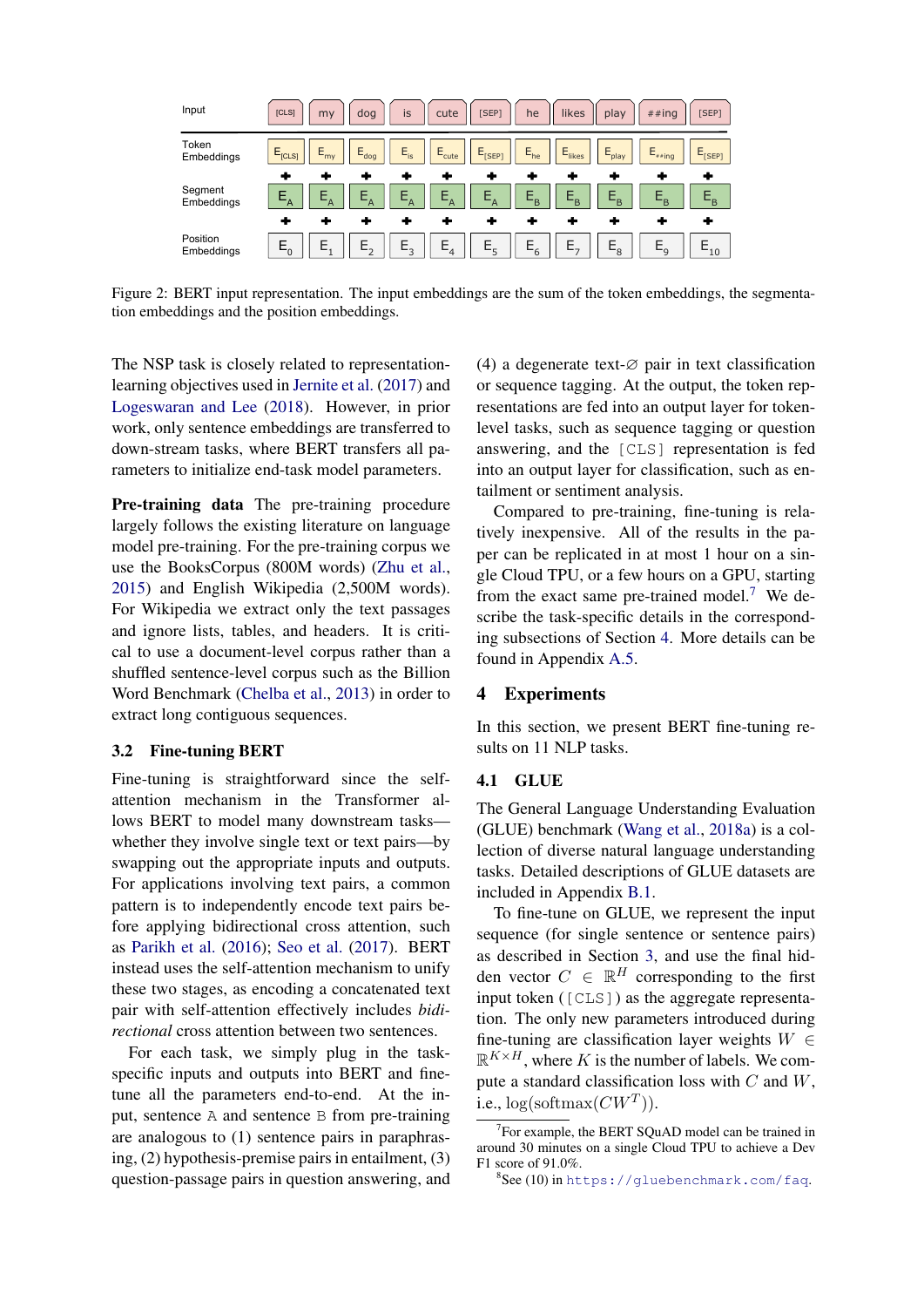<span id="page-4-0"></span>

Figure 2: BERT input representation. The input embeddings are the sum of the token embeddings, the segmentation embeddings and the position embeddings.

The NSP task is closely related to representationlearning objectives used in [Jernite et al.](#page-9-7) [\(2017\)](#page-9-7) and [Logeswaran and Lee](#page-10-11) [\(2018\)](#page-10-11). However, in prior work, only sentence embeddings are transferred to down-stream tasks, where BERT transfers all parameters to initialize end-task model parameters.

Pre-training data The pre-training procedure largely follows the existing literature on language model pre-training. For the pre-training corpus we use the BooksCorpus (800M words) [\(Zhu et al.,](#page-11-3) [2015\)](#page-11-3) and English Wikipedia (2,500M words). For Wikipedia we extract only the text passages and ignore lists, tables, and headers. It is critical to use a document-level corpus rather than a shuffled sentence-level corpus such as the Billion Word Benchmark [\(Chelba et al.,](#page-9-13) [2013\)](#page-9-13) in order to extract long contiguous sequences.

### 3.2 Fine-tuning BERT

Fine-tuning is straightforward since the selfattention mechanism in the Transformer allows BERT to model many downstream tasks whether they involve single text or text pairs—by swapping out the appropriate inputs and outputs. For applications involving text pairs, a common pattern is to independently encode text pairs before applying bidirectional cross attention, such as [Parikh et al.](#page-10-19) [\(2016\)](#page-10-19); [Seo et al.](#page-10-20) [\(2017\)](#page-10-20). BERT instead uses the self-attention mechanism to unify these two stages, as encoding a concatenated text pair with self-attention effectively includes *bidirectional* cross attention between two sentences.

For each task, we simply plug in the taskspecific inputs and outputs into BERT and finetune all the parameters end-to-end. At the input, sentence A and sentence B from pre-training are analogous to (1) sentence pairs in paraphrasing, (2) hypothesis-premise pairs in entailment, (3) question-passage pairs in question answering, and (4) a degenerate text-∅ pair in text classification or sequence tagging. At the output, the token representations are fed into an output layer for tokenlevel tasks, such as sequence tagging or question answering, and the [CLS] representation is fed into an output layer for classification, such as entailment or sentiment analysis.

Compared to pre-training, fine-tuning is relatively inexpensive. All of the results in the paper can be replicated in at most 1 hour on a single Cloud TPU, or a few hours on a GPU, starting from the exact same pre-trained model.<sup>[7](#page-4-1)</sup> We describe the task-specific details in the corresponding subsections of Section [4.](#page-4-2) More details can be found in Appendix [A.5.](#page-13-0)

#### <span id="page-4-2"></span>4 Experiments

In this section, we present BERT fine-tuning results on 11 NLP tasks.

### 4.1 GLUE

The General Language Understanding Evaluation (GLUE) benchmark [\(Wang et al.,](#page-10-16) [2018a\)](#page-10-16) is a collection of diverse natural language understanding tasks. Detailed descriptions of GLUE datasets are included in Appendix [B.1.](#page-13-1)

To fine-tune on GLUE, we represent the input sequence (for single sentence or sentence pairs) as described in Section [3,](#page-2-5) and use the final hidden vector  $C \in \mathbb{R}^H$  corresponding to the first input token  $(\lceil CLS \rceil)$  as the aggregate representation. The only new parameters introduced during fine-tuning are classification layer weights  $W \in$  $\mathbb{R}^{K \times H}$ , where K is the number of labels. We compute a standard classification loss with  $C$  and  $W$ . i.e.,  $log(softmax(CW^T))$ .

<span id="page-4-3"></span>8 See (10) in <https://gluebenchmark.com/faq>.

<span id="page-4-1"></span><sup>&</sup>lt;sup>7</sup> For example, the BERT SQuAD model can be trained in around 30 minutes on a single Cloud TPU to achieve a Dev F1 score of 91.0%.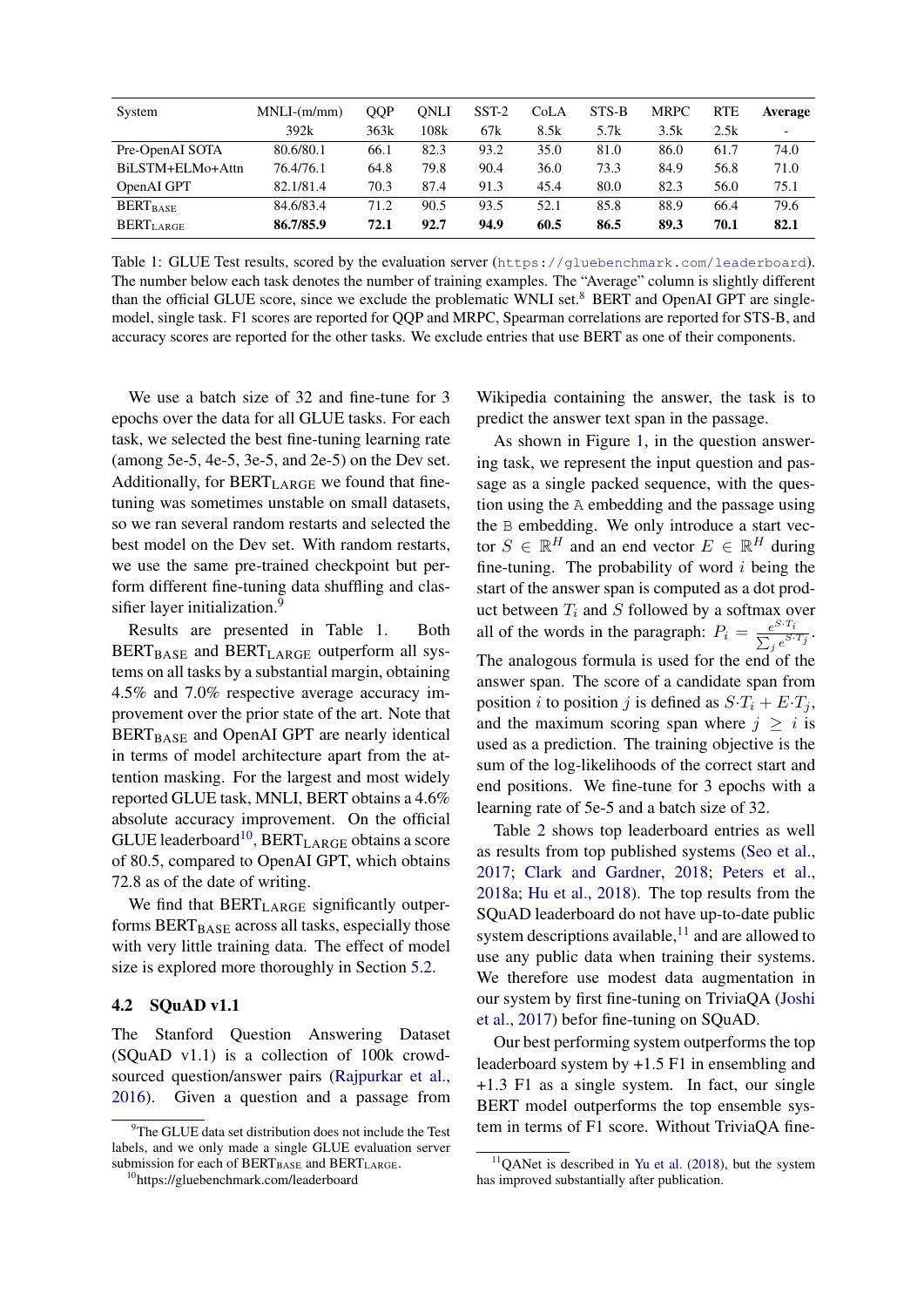<span id="page-5-1"></span>

| System                      | $MNLI-(m/mm)$ | OOP  | ONLI | $SST-2$ | CoLA | STS-B | <b>MRPC</b> | <b>RTE</b> | <b>Average</b> |
|-----------------------------|---------------|------|------|---------|------|-------|-------------|------------|----------------|
|                             | 392k          | 363k | 108k | 67k     | 8.5k | 5.7k  | 3.5k        | 2.5k       |                |
| Pre-OpenAI SOTA             | 80.6/80.1     | 66.1 | 82.3 | 93.2    | 35.0 | 81.0  | 86.0        | 61.7       | 74.0           |
| BiLSTM+ELMo+Attn            | 76.4/76.1     | 64.8 | 79.8 | 90.4    | 36.0 | 73.3  | 84.9        | 56.8       | 71.0           |
| OpenAI GPT                  | 82.1/81.4     | 70.3 | 87.4 | 91.3    | 45.4 | 80.0  | 82.3        | 56.0       | 75.1           |
| <b>BERT</b> <sub>BASE</sub> | 84.6/83.4     | 71.2 | 90.5 | 93.5    | 52.1 | 85.8  | 88.9        | 66.4       | 79.6           |
| BERT <sub>LARGE</sub>       | 86.7/85.9     | 72.1 | 92.7 | 94.9    | 60.5 | 86.5  | 89.3        | 70.1       | 82.1           |

Table 1: GLUE Test results, scored by the evaluation server (<https://gluebenchmark.com/leaderboard>). The number below each task denotes the number of training examples. The "Average" column is slightly different than the official GLUE score, since we exclude the problematic WNLI set.<sup>[8](#page-4-3)</sup> BERT and OpenAI GPT are singlemodel, single task. F1 scores are reported for QQP and MRPC, Spearman correlations are reported for STS-B, and accuracy scores are reported for the other tasks. We exclude entries that use BERT as one of their components.

We use a batch size of 32 and fine-tune for 3 epochs over the data for all GLUE tasks. For each task, we selected the best fine-tuning learning rate (among 5e-5, 4e-5, 3e-5, and 2e-5) on the Dev set. Additionally, for BERT<sub>LARGE</sub> we found that finetuning was sometimes unstable on small datasets, so we ran several random restarts and selected the best model on the Dev set. With random restarts, we use the same pre-trained checkpoint but perform different fine-tuning data shuffling and clas-sifier layer initialization.<sup>[9](#page-5-0)</sup>

Results are presented in Table [1.](#page-5-1) Both  $BERT<sub>BASE</sub>$  and  $BERT<sub>LARGE</sub>$  outperform all systems on all tasks by a substantial margin, obtaining 4.5% and 7.0% respective average accuracy improvement over the prior state of the art. Note that BERT<sub>BASE</sub> and OpenAI GPT are nearly identical in terms of model architecture apart from the attention masking. For the largest and most widely reported GLUE task, MNLI, BERT obtains a 4.6% absolute accuracy improvement. On the official GLUE leaderboard<sup>[10](#page-5-2)</sup>, BERT<sub>LARGE</sub> obtains a score of 80.5, compared to OpenAI GPT, which obtains 72.8 as of the date of writing.

We find that  $BERT_{LARGE}$  significantly outperforms  $BERT_{BASE}$  across all tasks, especially those with very little training data. The effect of model size is explored more thoroughly in Section [5.2.](#page-7-1)

#### 4.2 SQuAD v1.1

The Stanford Question Answering Dataset (SQuAD v1.1) is a collection of 100k crowdsourced question/answer pairs [\(Rajpurkar et al.,](#page-10-3) [2016\)](#page-10-3). Given a question and a passage from

Wikipedia containing the answer, the task is to predict the answer text span in the passage.

As shown in Figure [1,](#page-2-0) in the question answering task, we represent the input question and passage as a single packed sequence, with the question using the A embedding and the passage using the B embedding. We only introduce a start vector  $S \in \mathbb{R}^H$  and an end vector  $E \in \mathbb{R}^H$  during fine-tuning. The probability of word  $i$  being the start of the answer span is computed as a dot product between  $T_i$  and  $S$  followed by a softmax over all of the words in the paragraph:  $P_i = \frac{e^{S \cdot T_i}}{\sum_{n \in \mathcal{S}_i} S_n}$  $\frac{e^{\omega_{1}}}{\sum_{j}e^{S\cdot T_{j}}}.$ The analogous formula is used for the end of the answer span. The score of a candidate span from position i to position j is defined as  $S \cdot T_i + E \cdot T_j$ , and the maximum scoring span where  $j \geq i$  is used as a prediction. The training objective is the sum of the log-likelihoods of the correct start and end positions. We fine-tune for 3 epochs with a learning rate of 5e-5 and a batch size of 32.

Table [2](#page-6-0) shows top leaderboard entries as well as results from top published systems [\(Seo et al.,](#page-10-20) [2017;](#page-10-20) [Clark and Gardner,](#page-9-14) [2018;](#page-9-14) [Peters et al.,](#page-10-0) [2018a;](#page-10-0) [Hu et al.,](#page-9-15) [2018\)](#page-9-15). The top results from the SQuAD leaderboard do not have up-to-date public system descriptions available, $^{11}$  $^{11}$  $^{11}$  and are allowed to use any public data when training their systems. We therefore use modest data augmentation in our system by first fine-tuning on TriviaQA [\(Joshi](#page-10-21) [et al.,](#page-10-21) [2017\)](#page-10-21) befor fine-tuning on SQuAD.

Our best performing system outperforms the top leaderboard system by +1.5 F1 in ensembling and +1.3 F1 as a single system. In fact, our single BERT model outperforms the top ensemble system in terms of F1 score. Without TriviaQA fine-

<span id="page-5-0"></span><sup>&</sup>lt;sup>9</sup>The GLUE data set distribution does not include the Test labels, and we only made a single GLUE evaluation server submission for each of  $BERT_{BASE}$  and  $BERT_{LARGE}$ .

<span id="page-5-2"></span><sup>10</sup>https://gluebenchmark.com/leaderboard

<span id="page-5-3"></span> $11$ OANet is described in [Yu et al.](#page-11-4) [\(2018\)](#page-11-4), but the system has improved substantially after publication.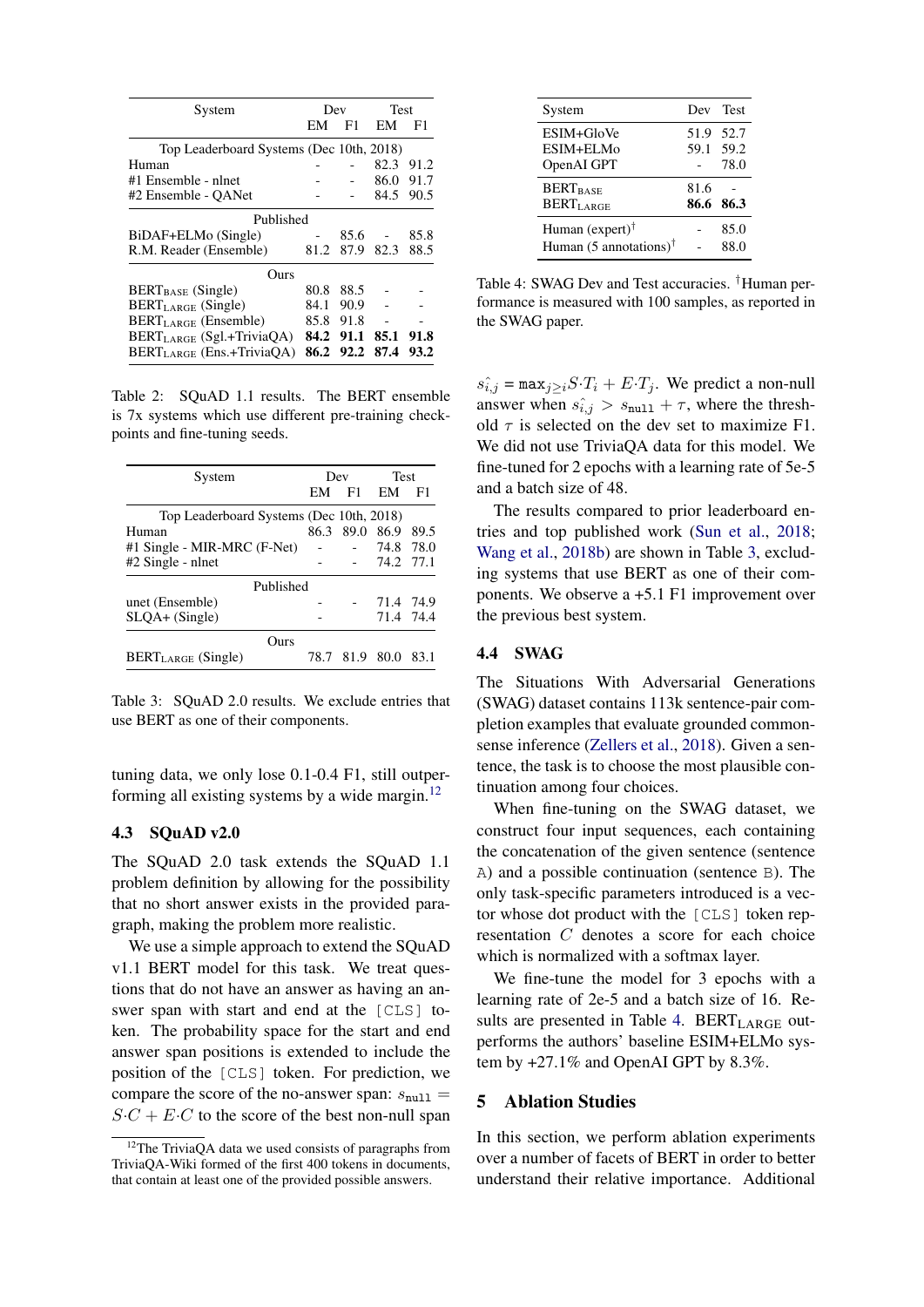<span id="page-6-0"></span>

| System                                   |      | Dev  | <b>Test</b> |      |
|------------------------------------------|------|------|-------------|------|
|                                          | EМ   | F1   | EМ          | F1   |
| Top Leaderboard Systems (Dec 10th, 2018) |      |      |             |      |
| Human                                    |      |      | 82.3        | 91.2 |
| #1 Ensemble - nlnet                      |      |      | 86.0        | 91.7 |
| #2 Ensemble - OANet                      |      |      | 84.5        | 90.5 |
| Published                                |      |      |             |      |
| BiDAF+ELMo (Single)                      |      | 85.6 |             | 85.8 |
| R.M. Reader (Ensemble)                   | 81.2 | 87.9 | 82.3        | 88.5 |
| Ours                                     |      |      |             |      |
| $BERT_{BASE}$ (Single)                   | 80.8 | 88.5 |             |      |
| $BERT_{LARGE}$ (Single)                  | 84.1 | 90.9 |             |      |
| $BERT_{LARGE}$ (Ensemble)                | 85.8 | 91.8 |             |      |
| $BERT_{LARGE}$ (Sgl.+TriviaQA)           | 84.2 | 91.1 | 85.1        | 91.8 |
| $BERT_{LARGE}$ (Ens.+TriviaOA)           | 86.2 | 92.2 | 87.4        | 93.2 |

Table 2: SQuAD 1.1 results. The BERT ensemble is 7x systems which use different pre-training checkpoints and fine-tuning seeds.

<span id="page-6-2"></span>

| System                                   |      | Dev  |                | <b>Test</b> |  |
|------------------------------------------|------|------|----------------|-------------|--|
|                                          | EМ   | - F1 | EM             | F1          |  |
| Top Leaderboard Systems (Dec 10th, 2018) |      |      |                |             |  |
| Human                                    |      |      | 86.3 89.0 86.9 | 89.5        |  |
| #1 Single - MIR-MRC (F-Net)              |      |      | 74.8 78.0      |             |  |
| $#2$ Single - nlnet                      |      |      | 74.2 77.1      |             |  |
| Published                                |      |      |                |             |  |
| unet (Ensemble)                          |      |      | 71.4 74.9      |             |  |
| $SLOA+ (Single)$                         |      |      | 71.4 74.4      |             |  |
| Ours                                     |      |      |                |             |  |
| BERT <sub>LARGE</sub> (Single)           | 78.7 | 81.9 | 80.0           | 83.1        |  |

Table 3: SQuAD 2.0 results. We exclude entries that use BERT as one of their components.

tuning data, we only lose 0.1-0.4 F1, still outper-forming all existing systems by a wide margin.<sup>[12](#page-6-1)</sup>

### 4.3 SQuAD v2.0

The SQuAD 2.0 task extends the SQuAD 1.1 problem definition by allowing for the possibility that no short answer exists in the provided paragraph, making the problem more realistic.

We use a simple approach to extend the SQuAD v1.1 BERT model for this task. We treat questions that do not have an answer as having an answer span with start and end at the [CLS] token. The probability space for the start and end answer span positions is extended to include the position of the [CLS] token. For prediction, we compare the score of the no-answer span:  $s_{\text{null}} =$  $S\cdot C + E\cdot C$  to the score of the best non-null span

<span id="page-6-3"></span>

| System                                                              | Dev Test               |              |
|---------------------------------------------------------------------|------------------------|--------------|
| ESIM+GloVe<br>ESIM+ELMo<br>OpenAI GPT                               | 51.9 52.7<br>59.1 59.2 | 78.0         |
| <b>BERT</b> <sub>BASE</sub><br><b>BERTLARGE</b>                     | 81.6<br>86.6 86.3      |              |
| Human $(expert)$ <sup>†</sup><br>Human (5 annotations) <sup>†</sup> |                        | 85.0<br>88.0 |

Table 4: SWAG Dev and Test accuracies. †Human performance is measured with 100 samples, as reported in the SWAG paper.

 $\hat{s}_{i,j} = \max_{j>i} S \cdot T_i + E \cdot T_j$ . We predict a non-null answer when  $s_{i,j} > s_{\text{null}} + \tau$ , where the threshold  $\tau$  is selected on the dev set to maximize F1. We did not use TriviaQA data for this model. We fine-tuned for 2 epochs with a learning rate of 5e-5 and a batch size of 48.

The results compared to prior leaderboard entries and top published work [\(Sun et al.,](#page-10-22) [2018;](#page-10-22) [Wang et al.,](#page-11-5) [2018b\)](#page-11-5) are shown in Table [3,](#page-6-2) excluding systems that use BERT as one of their components. We observe a +5.1 F1 improvement over the previous best system.

### 4.4 SWAG

The Situations With Adversarial Generations (SWAG) dataset contains 113k sentence-pair completion examples that evaluate grounded commonsense inference [\(Zellers et al.,](#page-11-6) [2018\)](#page-11-6). Given a sentence, the task is to choose the most plausible continuation among four choices.

When fine-tuning on the SWAG dataset, we construct four input sequences, each containing the concatenation of the given sentence (sentence A) and a possible continuation (sentence B). The only task-specific parameters introduced is a vector whose dot product with the [CLS] token representation C denotes a score for each choice which is normalized with a softmax layer.

We fine-tune the model for 3 epochs with a learning rate of 2e-5 and a batch size of 16. Re-sults are presented in Table [4.](#page-6-3) BERT<sub>LARGE</sub> outperforms the authors' baseline ESIM+ELMo system by +27.1% and OpenAI GPT by 8.3%.

### 5 Ablation Studies

In this section, we perform ablation experiments over a number of facets of BERT in order to better understand their relative importance. Additional

<span id="page-6-1"></span> $12$ The TriviaOA data we used consists of paragraphs from TriviaQA-Wiki formed of the first 400 tokens in documents, that contain at least one of the provided possible answers.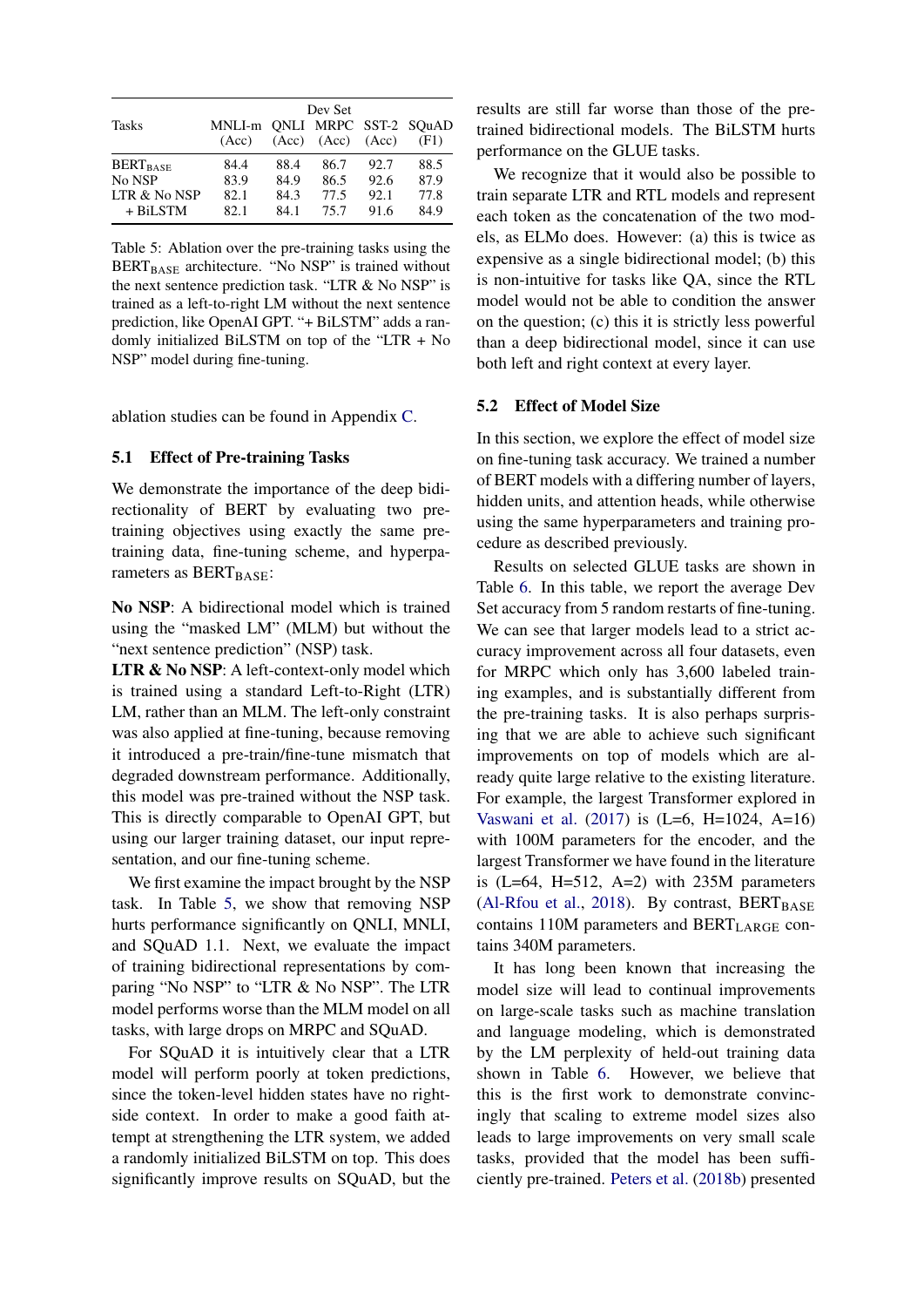<span id="page-7-2"></span>

| Tasks                       | MNLI-m QNLI MRPC SST-2 SQuAD |      |                         |      |      |
|-----------------------------|------------------------------|------|-------------------------|------|------|
|                             | (Acc)                        |      | $(Acc)$ $(Acc)$ $(Acc)$ |      | (F1) |
| <b>BERT</b> <sub>BASE</sub> | 84.4                         | 88.4 | 86.7                    | 92.7 | 88.5 |
| No NSP                      | 83.9                         | 84.9 | 86.5                    | 92.6 | 87.9 |
| LTR & No NSP                | 82.1                         | 84.3 | 77.5                    | 92.1 | 77.8 |
| $+$ BiLSTM                  | 82.1                         | 84.1 | 75.7                    | 91.6 | 84.9 |

Table 5: Ablation over the pre-training tasks using the BERT $_{\text{BAGE}}$  architecture. "No NSP" is trained without the next sentence prediction task. "LTR & No NSP" is trained as a left-to-right LM without the next sentence prediction, like OpenAI GPT. "+ BiLSTM" adds a randomly initialized BiLSTM on top of the "LTR + No NSP" model during fine-tuning.

ablation studies can be found in Appendix [C.](#page-15-1)

### <span id="page-7-0"></span>5.1 Effect of Pre-training Tasks

We demonstrate the importance of the deep bidirectionality of BERT by evaluating two pretraining objectives using exactly the same pretraining data, fine-tuning scheme, and hyperparameters as  $BERT_{BASE}$ :

No NSP: A bidirectional model which is trained using the "masked LM" (MLM) but without the "next sentence prediction" (NSP) task.

LTR & No NSP: A left-context-only model which is trained using a standard Left-to-Right (LTR) LM, rather than an MLM. The left-only constraint was also applied at fine-tuning, because removing it introduced a pre-train/fine-tune mismatch that degraded downstream performance. Additionally, this model was pre-trained without the NSP task. This is directly comparable to OpenAI GPT, but using our larger training dataset, our input representation, and our fine-tuning scheme.

We first examine the impact brought by the NSP task. In Table [5,](#page-7-2) we show that removing NSP hurts performance significantly on QNLI, MNLI, and SQuAD 1.1. Next, we evaluate the impact of training bidirectional representations by comparing "No NSP" to "LTR & No NSP". The LTR model performs worse than the MLM model on all tasks, with large drops on MRPC and SQuAD.

For SQuAD it is intuitively clear that a LTR model will perform poorly at token predictions, since the token-level hidden states have no rightside context. In order to make a good faith attempt at strengthening the LTR system, we added a randomly initialized BiLSTM on top. This does significantly improve results on SQuAD, but the results are still far worse than those of the pretrained bidirectional models. The BiLSTM hurts performance on the GLUE tasks.

We recognize that it would also be possible to train separate LTR and RTL models and represent each token as the concatenation of the two models, as ELMo does. However: (a) this is twice as expensive as a single bidirectional model; (b) this is non-intuitive for tasks like QA, since the RTL model would not be able to condition the answer on the question; (c) this it is strictly less powerful than a deep bidirectional model, since it can use both left and right context at every layer.

### <span id="page-7-1"></span>5.2 Effect of Model Size

In this section, we explore the effect of model size on fine-tuning task accuracy. We trained a number of BERT models with a differing number of layers, hidden units, and attention heads, while otherwise using the same hyperparameters and training procedure as described previously.

Results on selected GLUE tasks are shown in Table [6.](#page-8-0) In this table, we report the average Dev Set accuracy from 5 random restarts of fine-tuning. We can see that larger models lead to a strict accuracy improvement across all four datasets, even for MRPC which only has 3,600 labeled training examples, and is substantially different from the pre-training tasks. It is also perhaps surprising that we are able to achieve such significant improvements on top of models which are already quite large relative to the existing literature. For example, the largest Transformer explored in [Vaswani et al.](#page-10-4) [\(2017\)](#page-10-4) is (L=6, H=1024, A=16) with 100M parameters for the encoder, and the largest Transformer we have found in the literature is  $(L=64, H=512, A=2)$  with 235M parameters [\(Al-Rfou et al.,](#page-9-16) [2018\)](#page-9-16). By contrast,  $BERT_{BASE}$ contains 110M parameters and BERT<sub>LARGE</sub> contains 340M parameters.

It has long been known that increasing the model size will lead to continual improvements on large-scale tasks such as machine translation and language modeling, which is demonstrated by the LM perplexity of held-out training data shown in Table [6.](#page-8-0) However, we believe that this is the first work to demonstrate convincingly that scaling to extreme model sizes also leads to large improvements on very small scale tasks, provided that the model has been sufficiently pre-trained. [Peters et al.](#page-10-23) [\(2018b\)](#page-10-23) presented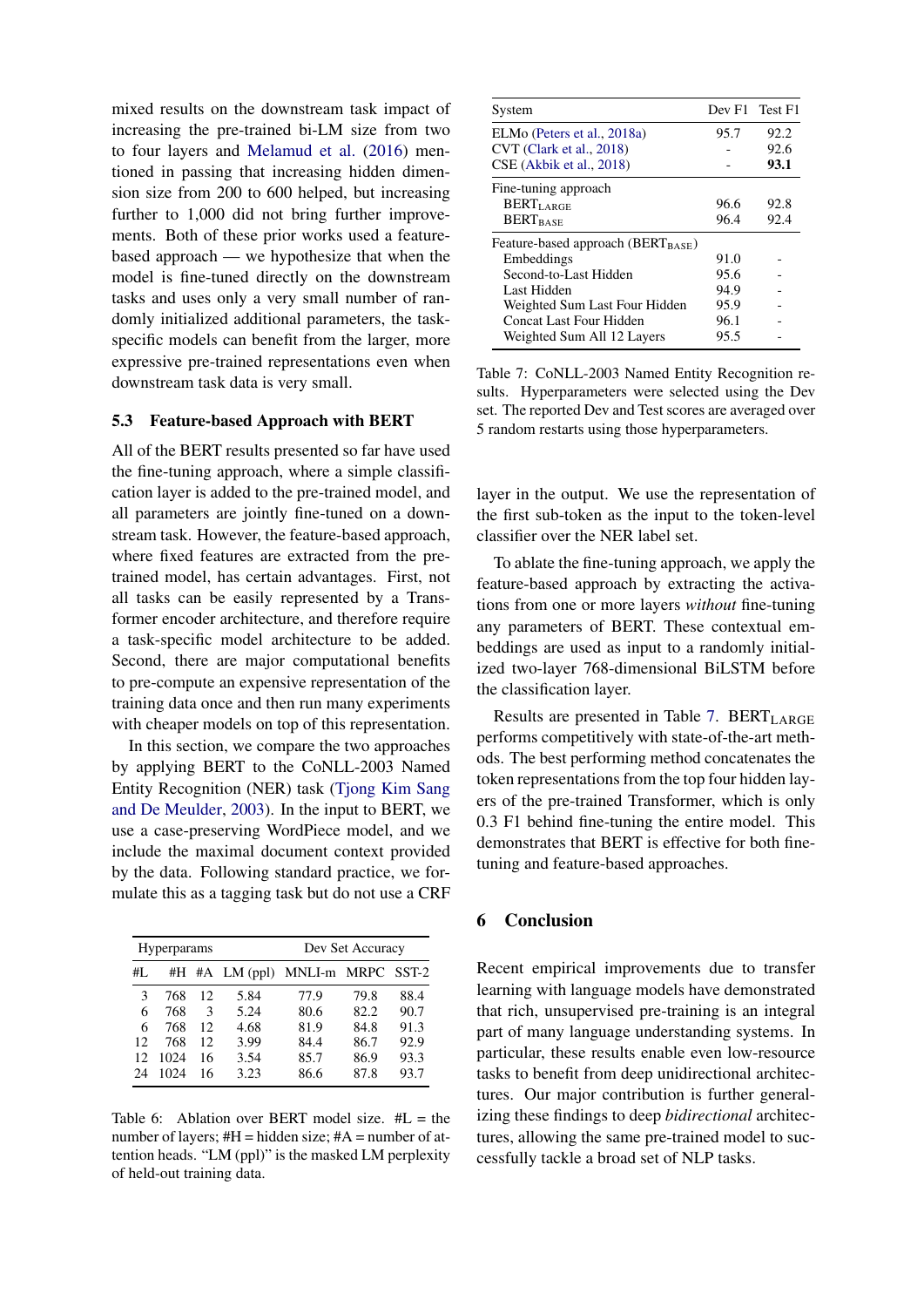mixed results on the downstream task impact of increasing the pre-trained bi-LM size from two to four layers and [Melamud et al.](#page-10-15) [\(2016\)](#page-10-15) mentioned in passing that increasing hidden dimension size from 200 to 600 helped, but increasing further to 1,000 did not bring further improvements. Both of these prior works used a featurebased approach — we hypothesize that when the model is fine-tuned directly on the downstream tasks and uses only a very small number of randomly initialized additional parameters, the taskspecific models can benefit from the larger, more expressive pre-trained representations even when downstream task data is very small.

### <span id="page-8-2"></span>5.3 Feature-based Approach with BERT

All of the BERT results presented so far have used the fine-tuning approach, where a simple classification layer is added to the pre-trained model, and all parameters are jointly fine-tuned on a downstream task. However, the feature-based approach, where fixed features are extracted from the pretrained model, has certain advantages. First, not all tasks can be easily represented by a Transformer encoder architecture, and therefore require a task-specific model architecture to be added. Second, there are major computational benefits to pre-compute an expensive representation of the training data once and then run many experiments with cheaper models on top of this representation.

In this section, we compare the two approaches by applying BERT to the CoNLL-2003 Named Entity Recognition (NER) task [\(Tjong Kim Sang](#page-10-2) [and De Meulder,](#page-10-2) [2003\)](#page-10-2). In the input to BERT, we use a case-preserving WordPiece model, and we include the maximal document context provided by the data. Following standard practice, we formulate this as a tagging task but do not use a CRF

<span id="page-8-0"></span>

|                         | <b>Hyperparams</b>               |                                        |                                      | Dev Set Accuracy                     |                                      |                                      |  |
|-------------------------|----------------------------------|----------------------------------------|--------------------------------------|--------------------------------------|--------------------------------------|--------------------------------------|--|
| #L                      |                                  |                                        | #H #A LM $(ppl)$                     | MNLI-m MRPC SST-2                    |                                      |                                      |  |
| 3<br>6<br>6<br>12<br>12 | 768<br>768<br>768<br>768<br>1024 | 12<br>3<br>12 <sup>2</sup><br>12<br>16 | 5.84<br>5.24<br>4.68<br>3.99<br>3.54 | 77.9<br>80.6<br>81.9<br>84.4<br>85.7 | 79.8<br>82.2<br>84.8<br>86.7<br>86.9 | 88.4<br>90.7<br>91.3<br>92.9<br>93.3 |  |
| 24                      | 1024                             | 16                                     | 3.23                                 | 86.6                                 | 87.8                                 | 93.7                                 |  |

Table 6: Ablation over BERT model size.  $#L =$  the number of layers;  $#H = hidden size$ ;  $#A = number of at$ tention heads. "LM (ppl)" is the masked LM perplexity of held-out training data.

<span id="page-8-1"></span>

| System                                         |      | Dev F1 Test F1 |
|------------------------------------------------|------|----------------|
| ELMo (Peters et al., 2018a)                    | 95.7 | 92.2           |
| $CVT$ (Clark et al., 2018)                     |      | 92.6           |
| CSE (Akbik et al., 2018)                       |      | 93.1           |
| Fine-tuning approach                           |      |                |
| <b>BERTLARGE</b>                               | 96.6 | 92.8           |
| <b>BERT</b> BASE                               | 96.4 | 92.4           |
| Feature-based approach (BERT <sub>BASE</sub> ) |      |                |
| Embeddings                                     | 91.0 |                |
| Second-to-Last Hidden                          | 95.6 |                |
| Last Hidden                                    | 94.9 |                |
| Weighted Sum Last Four Hidden                  | 95.9 |                |
| Concat Last Four Hidden                        | 96.1 |                |
| Weighted Sum All 12 Layers                     | 95.5 |                |

Table 7: CoNLL-2003 Named Entity Recognition results. Hyperparameters were selected using the Dev set. The reported Dev and Test scores are averaged over 5 random restarts using those hyperparameters.

layer in the output. We use the representation of the first sub-token as the input to the token-level classifier over the NER label set.

To ablate the fine-tuning approach, we apply the feature-based approach by extracting the activations from one or more layers *without* fine-tuning any parameters of BERT. These contextual embeddings are used as input to a randomly initialized two-layer 768-dimensional BiLSTM before the classification layer.

Results are presented in Table [7.](#page-8-1) BERT<sub>LARGE</sub> performs competitively with state-of-the-art methods. The best performing method concatenates the token representations from the top four hidden layers of the pre-trained Transformer, which is only 0.3 F1 behind fine-tuning the entire model. This demonstrates that BERT is effective for both finetuning and feature-based approaches.

### 6 Conclusion

Recent empirical improvements due to transfer learning with language models have demonstrated that rich, unsupervised pre-training is an integral part of many language understanding systems. In particular, these results enable even low-resource tasks to benefit from deep unidirectional architectures. Our major contribution is further generalizing these findings to deep *bidirectional* architectures, allowing the same pre-trained model to successfully tackle a broad set of NLP tasks.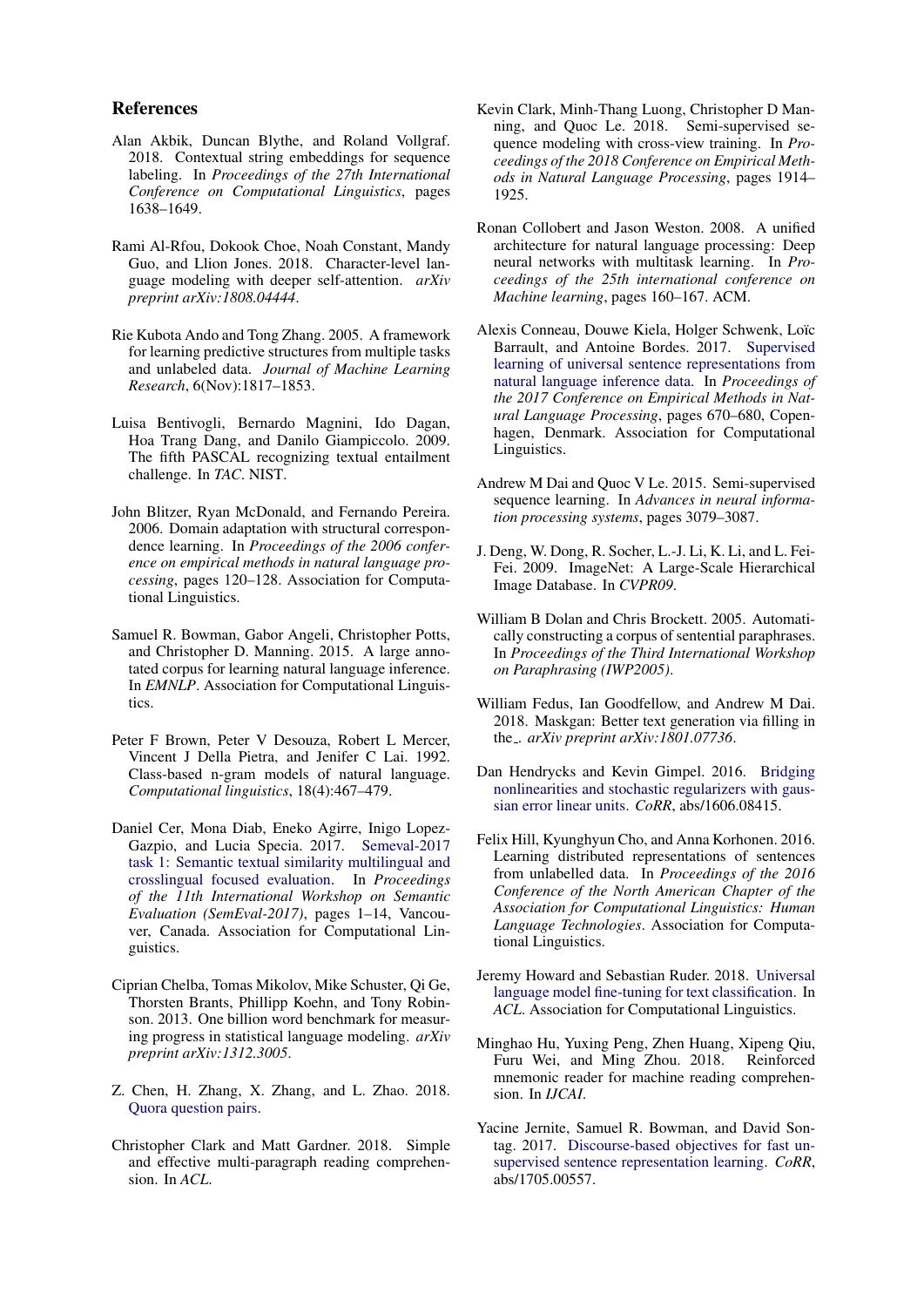### References

- <span id="page-9-18"></span>Alan Akbik, Duncan Blythe, and Roland Vollgraf. 2018. Contextual string embeddings for sequence labeling. In *Proceedings of the 27th International Conference on Computational Linguistics*, pages 1638–1649.
- <span id="page-9-16"></span>Rami Al-Rfou, Dokook Choe, Noah Constant, Mandy Guo, and Llion Jones. 2018. Character-level language modeling with deeper self-attention. *arXiv preprint arXiv:1808.04444*.
- <span id="page-9-5"></span>Rie Kubota Ando and Tong Zhang. 2005. A framework for learning predictive structures from multiple tasks and unlabeled data. *Journal of Machine Learning Research*, 6(Nov):1817–1853.
- <span id="page-9-22"></span>Luisa Bentivogli, Bernardo Magnini, Ido Dagan, Hoa Trang Dang, and Danilo Giampiccolo. 2009. The fifth PASCAL recognizing textual entailment challenge. In *TAC*. NIST.
- <span id="page-9-6"></span>John Blitzer, Ryan McDonald, and Fernando Pereira. 2006. Domain adaptation with structural correspondence learning. In *Proceedings of the 2006 conference on empirical methods in natural language processing*, pages 120–128. Association for Computational Linguistics.
- <span id="page-9-2"></span>Samuel R. Bowman, Gabor Angeli, Christopher Potts, and Christopher D. Manning. 2015. A large annotated corpus for learning natural language inference. In *EMNLP*. Association for Computational Linguistics.
- <span id="page-9-4"></span>Peter F Brown, Peter V Desouza, Robert L Mercer, Vincent J Della Pietra, and Jenifer C Lai. 1992. Class-based n-gram models of natural language. *Computational linguistics*, 18(4):467–479.
- <span id="page-9-21"></span>Daniel Cer, Mona Diab, Eneko Agirre, Inigo Lopez-Gazpio, and Lucia Specia. 2017. [Semeval-2017](https://doi.org/10.18653/v1/S17-2001) [task 1: Semantic textual similarity multilingual and](https://doi.org/10.18653/v1/S17-2001) [crosslingual focused evaluation.](https://doi.org/10.18653/v1/S17-2001) In *Proceedings of the 11th International Workshop on Semantic Evaluation (SemEval-2017)*, pages 1–14, Vancouver, Canada. Association for Computational Linguistics.
- <span id="page-9-13"></span>Ciprian Chelba, Tomas Mikolov, Mike Schuster, Qi Ge, Thorsten Brants, Phillipp Koehn, and Tony Robinson. 2013. One billion word benchmark for measuring progress in statistical language modeling. *arXiv preprint arXiv:1312.3005*.
- <span id="page-9-20"></span>Z. Chen, H. Zhang, X. Zhang, and L. Zhao. 2018. [Quora question pairs.](https://data.quora.com/First-Quora-Dataset-Release-Question-Pairs)
- <span id="page-9-14"></span>Christopher Clark and Matt Gardner. 2018. Simple and effective multi-paragraph reading comprehension. In *ACL*.
- <span id="page-9-17"></span>Kevin Clark, Minh-Thang Luong, Christopher D Manning, and Quoc Le. 2018. Semi-supervised sequence modeling with cross-view training. In *Proceedings of the 2018 Conference on Empirical Methods in Natural Language Processing*, pages 1914– 1925.
- <span id="page-9-10"></span>Ronan Collobert and Jason Weston. 2008. A unified architecture for natural language processing: Deep neural networks with multitask learning. In *Proceedings of the 25th international conference on Machine learning*, pages 160–167. ACM.
- <span id="page-9-11"></span>Alexis Conneau, Douwe Kiela, Holger Schwenk, Loïc Barrault, and Antoine Bordes. 2017. [Supervised](https://www.aclweb.org/anthology/D17-1070) [learning of universal sentence representations from](https://www.aclweb.org/anthology/D17-1070) [natural language inference data.](https://www.aclweb.org/anthology/D17-1070) In *Proceedings of the 2017 Conference on Empirical Methods in Natural Language Processing*, pages 670–680, Copenhagen, Denmark. Association for Computational Linguistics.
- <span id="page-9-0"></span>Andrew M Dai and Quoc V Le. 2015. Semi-supervised sequence learning. In *Advances in neural information processing systems*, pages 3079–3087.
- <span id="page-9-12"></span>J. Deng, W. Dong, R. Socher, L.-J. Li, K. Li, and L. Fei-Fei. 2009. ImageNet: A Large-Scale Hierarchical Image Database. In *CVPR09*.
- <span id="page-9-3"></span>William B Dolan and Chris Brockett. 2005. Automatically constructing a corpus of sentential paraphrases. In *Proceedings of the Third International Workshop on Paraphrasing (IWP2005)*.
- <span id="page-9-9"></span>William Fedus, Ian Goodfellow, and Andrew M Dai. 2018. Maskgan: Better text generation via filling in the . *arXiv preprint arXiv:1801.07736*.
- <span id="page-9-19"></span>Dan Hendrycks and Kevin Gimpel. 2016. [Bridging](http://arxiv.org/abs/1606.08415) [nonlinearities and stochastic regularizers with gaus](http://arxiv.org/abs/1606.08415)[sian error linear units.](http://arxiv.org/abs/1606.08415) *CoRR*, abs/1606.08415.
- <span id="page-9-8"></span>Felix Hill, Kyunghyun Cho, and Anna Korhonen. 2016. Learning distributed representations of sentences from unlabelled data. In *Proceedings of the 2016 Conference of the North American Chapter of the Association for Computational Linguistics: Human Language Technologies*. Association for Computational Linguistics.
- <span id="page-9-1"></span>Jeremy Howard and Sebastian Ruder. 2018. [Universal](http://arxiv.org/abs/1801.06146) [language model fine-tuning for text classification.](http://arxiv.org/abs/1801.06146) In *ACL*. Association for Computational Linguistics.
- <span id="page-9-15"></span>Minghao Hu, Yuxing Peng, Zhen Huang, Xipeng Qiu, Furu Wei, and Ming Zhou. 2018. Reinforced mnemonic reader for machine reading comprehension. In *IJCAI*.
- <span id="page-9-7"></span>Yacine Jernite, Samuel R. Bowman, and David Sontag. 2017. [Discourse-based objectives for fast un](http://arxiv.org/abs/1705.00557)[supervised sentence representation learning.](http://arxiv.org/abs/1705.00557) *CoRR*, abs/1705.00557.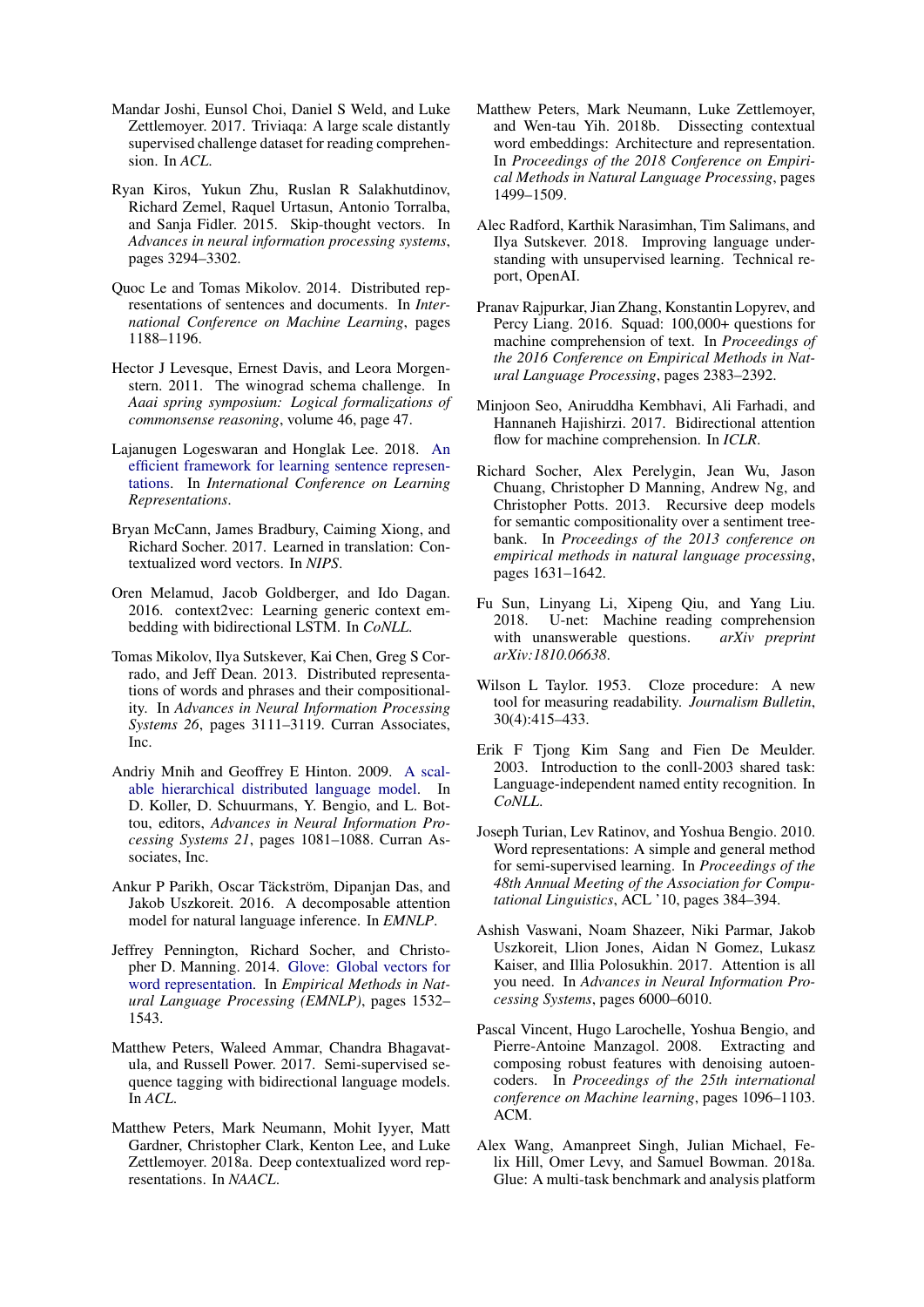- <span id="page-10-21"></span>Mandar Joshi, Eunsol Choi, Daniel S Weld, and Luke Zettlemoyer. 2017. Triviaqa: A large scale distantly supervised challenge dataset for reading comprehension. In *ACL*.
- <span id="page-10-10"></span>Ryan Kiros, Yukun Zhu, Ruslan R Salakhutdinov, Richard Zemel, Raquel Urtasun, Antonio Torralba, and Sanja Fidler. 2015. Skip-thought vectors. In *Advances in neural information processing systems*, pages 3294–3302.
- <span id="page-10-12"></span>Quoc Le and Tomas Mikolov. 2014. Distributed representations of sentences and documents. In *International Conference on Machine Learning*, pages 1188–1196.
- <span id="page-10-24"></span>Hector J Levesque, Ernest Davis, and Leora Morgenstern. 2011. The winograd schema challenge. In *Aaai spring symposium: Logical formalizations of commonsense reasoning*, volume 46, page 47.
- <span id="page-10-11"></span>Lajanugen Logeswaran and Honglak Lee. 2018. [An](https://openreview.net/forum?id=rJvJXZb0W) [efficient framework for learning sentence represen](https://openreview.net/forum?id=rJvJXZb0W)[tations.](https://openreview.net/forum?id=rJvJXZb0W) In *International Conference on Learning Representations*.
- <span id="page-10-17"></span>Bryan McCann, James Bradbury, Caiming Xiong, and Richard Socher. 2017. Learned in translation: Contextualized word vectors. In *NIPS*.
- <span id="page-10-15"></span>Oren Melamud, Jacob Goldberger, and Ido Dagan. 2016. context2vec: Learning generic context embedding with bidirectional LSTM. In *CoNLL*.
- <span id="page-10-6"></span>Tomas Mikolov, Ilya Sutskever, Kai Chen, Greg S Corrado, and Jeff Dean. 2013. Distributed representations of words and phrases and their compositionality. In *Advances in Neural Information Processing Systems 26*, pages 3111–3119. Curran Associates, Inc.
- <span id="page-10-9"></span>Andriy Mnih and Geoffrey E Hinton. 2009. [A scal](http://papers.nips.cc/paper/3583-a-scalable-hierarchical-distributed-language-model.pdf)[able hierarchical distributed language model.](http://papers.nips.cc/paper/3583-a-scalable-hierarchical-distributed-language-model.pdf) In D. Koller, D. Schuurmans, Y. Bengio, and L. Bottou, editors, *Advances in Neural Information Processing Systems 21*, pages 1081–1088. Curran Associates, Inc.
- <span id="page-10-19"></span>Ankur P Parikh, Oscar Täckström, Dipanjan Das, and Jakob Uszkoreit. 2016. A decomposable attention model for natural language inference. In *EMNLP*.
- <span id="page-10-7"></span>Jeffrey Pennington, Richard Socher, and Christopher D. Manning. 2014. [Glove: Global vectors for](http://www.aclweb.org/anthology/D14-1162) [word representation.](http://www.aclweb.org/anthology/D14-1162) In *Empirical Methods in Natural Language Processing (EMNLP)*, pages 1532– 1543.
- <span id="page-10-13"></span>Matthew Peters, Waleed Ammar, Chandra Bhagavatula, and Russell Power. 2017. Semi-supervised sequence tagging with bidirectional language models. In *ACL*.
- <span id="page-10-0"></span>Matthew Peters, Mark Neumann, Mohit Iyyer, Matt Gardner, Christopher Clark, Kenton Lee, and Luke Zettlemoyer. 2018a. Deep contextualized word representations. In *NAACL*.
- <span id="page-10-23"></span>Matthew Peters, Mark Neumann, Luke Zettlemoyer, and Wen-tau Yih. 2018b. Dissecting contextual word embeddings: Architecture and representation. In *Proceedings of the 2018 Conference on Empirical Methods in Natural Language Processing*, pages 1499–1509.
- <span id="page-10-1"></span>Alec Radford, Karthik Narasimhan, Tim Salimans, and Ilya Sutskever. 2018. Improving language understanding with unsupervised learning. Technical report, OpenAI.
- <span id="page-10-3"></span>Pranav Rajpurkar, Jian Zhang, Konstantin Lopyrev, and Percy Liang. 2016. Squad: 100,000+ questions for machine comprehension of text. In *Proceedings of the 2016 Conference on Empirical Methods in Natural Language Processing*, pages 2383–2392.
- <span id="page-10-20"></span>Minjoon Seo, Aniruddha Kembhavi, Ali Farhadi, and Hannaneh Hajishirzi. 2017. Bidirectional attention flow for machine comprehension. In *ICLR*.
- <span id="page-10-14"></span>Richard Socher, Alex Perelygin, Jean Wu, Jason Chuang, Christopher D Manning, Andrew Ng, and Christopher Potts. 2013. Recursive deep models for semantic compositionality over a sentiment treebank. In *Proceedings of the 2013 conference on empirical methods in natural language processing*, pages 1631–1642.
- <span id="page-10-22"></span>Fu Sun, Linyang Li, Xipeng Qiu, and Yang Liu. 2018. U-net: Machine reading comprehension with unanswerable questions. *arXiv preprint arXiv:1810.06638*.
- <span id="page-10-5"></span>Wilson L Taylor. 1953. Cloze procedure: A new tool for measuring readability. *Journalism Bulletin*, 30(4):415–433.
- <span id="page-10-2"></span>Erik F Tjong Kim Sang and Fien De Meulder. 2003. Introduction to the conll-2003 shared task: Language-independent named entity recognition. In *CoNLL*.
- <span id="page-10-8"></span>Joseph Turian, Lev Ratinov, and Yoshua Bengio. 2010. Word representations: A simple and general method for semi-supervised learning. In *Proceedings of the 48th Annual Meeting of the Association for Computational Linguistics*, ACL '10, pages 384–394.
- <span id="page-10-4"></span>Ashish Vaswani, Noam Shazeer, Niki Parmar, Jakob Uszkoreit, Llion Jones, Aidan N Gomez, Lukasz Kaiser, and Illia Polosukhin. 2017. Attention is all you need. In *Advances in Neural Information Processing Systems*, pages 6000–6010.
- <span id="page-10-18"></span>Pascal Vincent, Hugo Larochelle, Yoshua Bengio, and Pierre-Antoine Manzagol. 2008. Extracting and composing robust features with denoising autoencoders. In *Proceedings of the 25th international conference on Machine learning*, pages 1096–1103. ACM.
- <span id="page-10-16"></span>Alex Wang, Amanpreet Singh, Julian Michael, Felix Hill, Omer Levy, and Samuel Bowman. 2018a. Glue: A multi-task benchmark and analysis platform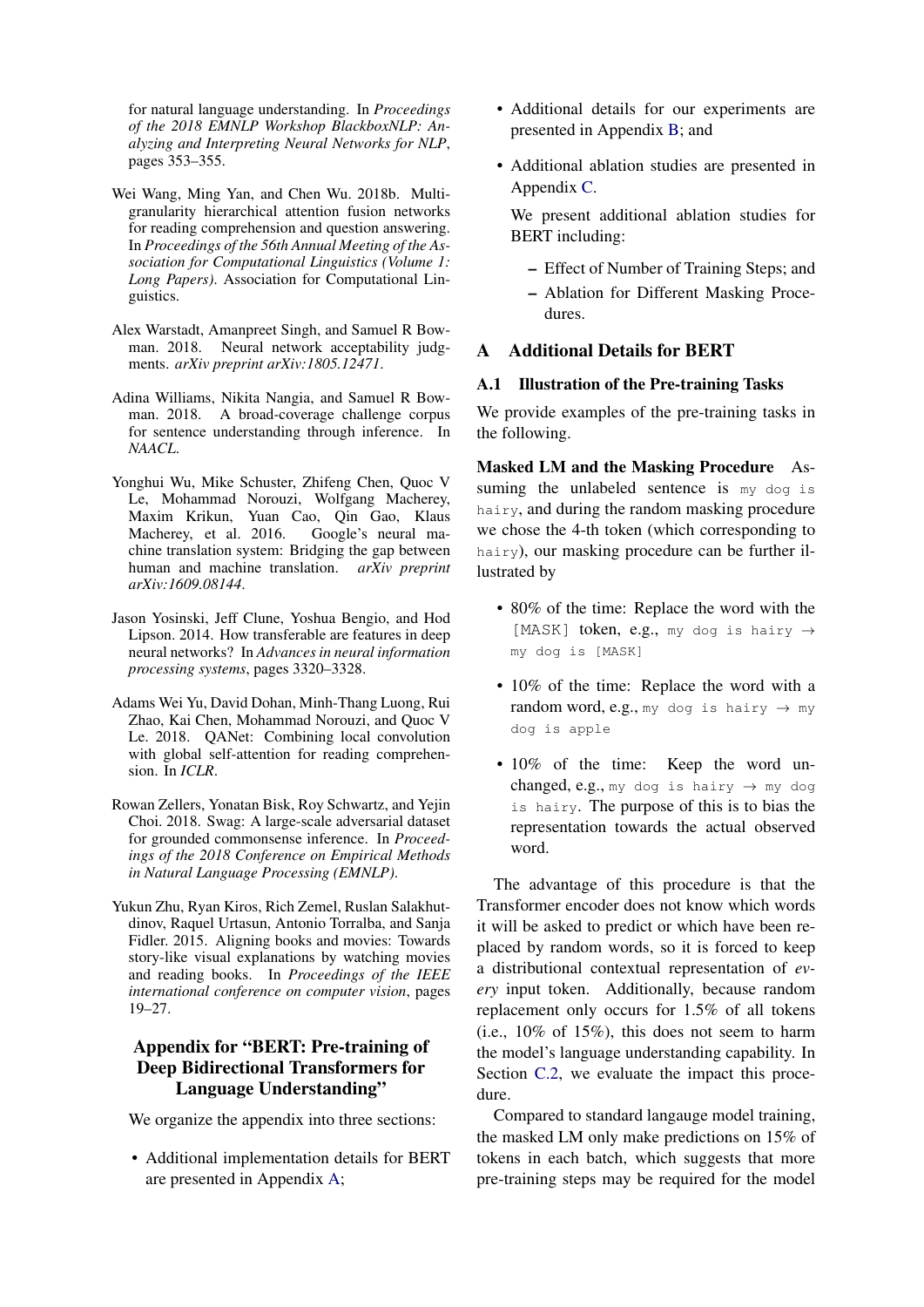for natural language understanding. In *Proceedings of the 2018 EMNLP Workshop BlackboxNLP: Analyzing and Interpreting Neural Networks for NLP*, pages 353–355.

- <span id="page-11-5"></span>Wei Wang, Ming Yan, and Chen Wu. 2018b. Multigranularity hierarchical attention fusion networks for reading comprehension and question answering. In *Proceedings of the 56th Annual Meeting of the Association for Computational Linguistics (Volume 1: Long Papers)*. Association for Computational Linguistics.
- <span id="page-11-8"></span>Alex Warstadt, Amanpreet Singh, and Samuel R Bowman. 2018. Neural network acceptability judgments. *arXiv preprint arXiv:1805.12471*.
- <span id="page-11-0"></span>Adina Williams, Nikita Nangia, and Samuel R Bowman. 2018. A broad-coverage challenge corpus for sentence understanding through inference. In *NAACL*.
- <span id="page-11-2"></span>Yonghui Wu, Mike Schuster, Zhifeng Chen, Quoc V Le, Mohammad Norouzi, Wolfgang Macherey, Maxim Krikun, Yuan Cao, Qin Gao, Klaus Macherey, et al. 2016. chine translation system: Bridging the gap between human and machine translation. *arXiv preprint arXiv:1609.08144*.
- <span id="page-11-1"></span>Jason Yosinski, Jeff Clune, Yoshua Bengio, and Hod Lipson. 2014. How transferable are features in deep neural networks? In *Advances in neural information processing systems*, pages 3320–3328.
- <span id="page-11-4"></span>Adams Wei Yu, David Dohan, Minh-Thang Luong, Rui Zhao, Kai Chen, Mohammad Norouzi, and Quoc V Le. 2018. QANet: Combining local convolution with global self-attention for reading comprehension. In *ICLR*.
- <span id="page-11-6"></span>Rowan Zellers, Yonatan Bisk, Roy Schwartz, and Yejin Choi. 2018. Swag: A large-scale adversarial dataset for grounded commonsense inference. In *Proceedings of the 2018 Conference on Empirical Methods in Natural Language Processing (EMNLP)*.
- <span id="page-11-3"></span>Yukun Zhu, Ryan Kiros, Rich Zemel, Ruslan Salakhutdinov, Raquel Urtasun, Antonio Torralba, and Sanja Fidler. 2015. Aligning books and movies: Towards story-like visual explanations by watching movies and reading books. In *Proceedings of the IEEE international conference on computer vision*, pages 19–27.

## Appendix for "BERT: Pre-training of Deep Bidirectional Transformers for Language Understanding"

We organize the appendix into three sections:

• Additional implementation details for BERT are presented in Appendix [A;](#page-11-7)

- Additional details for our experiments are presented in Appendix [B;](#page-13-2) and
- Additional ablation studies are presented in Appendix [C.](#page-15-1)

We present additional ablation studies for BERT including:

- Effect of Number of Training Steps; and
- Ablation for Different Masking Procedures.

### <span id="page-11-7"></span>A Additional Details for BERT

### A.1 Illustration of the Pre-training Tasks

We provide examples of the pre-training tasks in the following.

Masked LM and the Masking Procedure Assuming the unlabeled sentence is my dog is hairy, and during the random masking procedure we chose the 4-th token (which corresponding to hairy), our masking procedure can be further illustrated by

- 80% of the time: Replace the word with the [MASK] token, e.g., my dog is hairy  $\rightarrow$ my dog is [MASK]
- 10% of the time: Replace the word with a random word, e.g., my dog is hairy  $\rightarrow$  my dog is apple
- 10% of the time: Keep the word unchanged, e.g., my dog is hairy  $\rightarrow$  my dog is hairy. The purpose of this is to bias the representation towards the actual observed word.

The advantage of this procedure is that the Transformer encoder does not know which words it will be asked to predict or which have been replaced by random words, so it is forced to keep a distributional contextual representation of *every* input token. Additionally, because random replacement only occurs for 1.5% of all tokens (i.e.,  $10\%$  of  $15\%$ ), this does not seem to harm the model's language understanding capability. In Section [C.2,](#page-15-0) we evaluate the impact this procedure.

Compared to standard langauge model training, the masked LM only make predictions on 15% of tokens in each batch, which suggests that more pre-training steps may be required for the model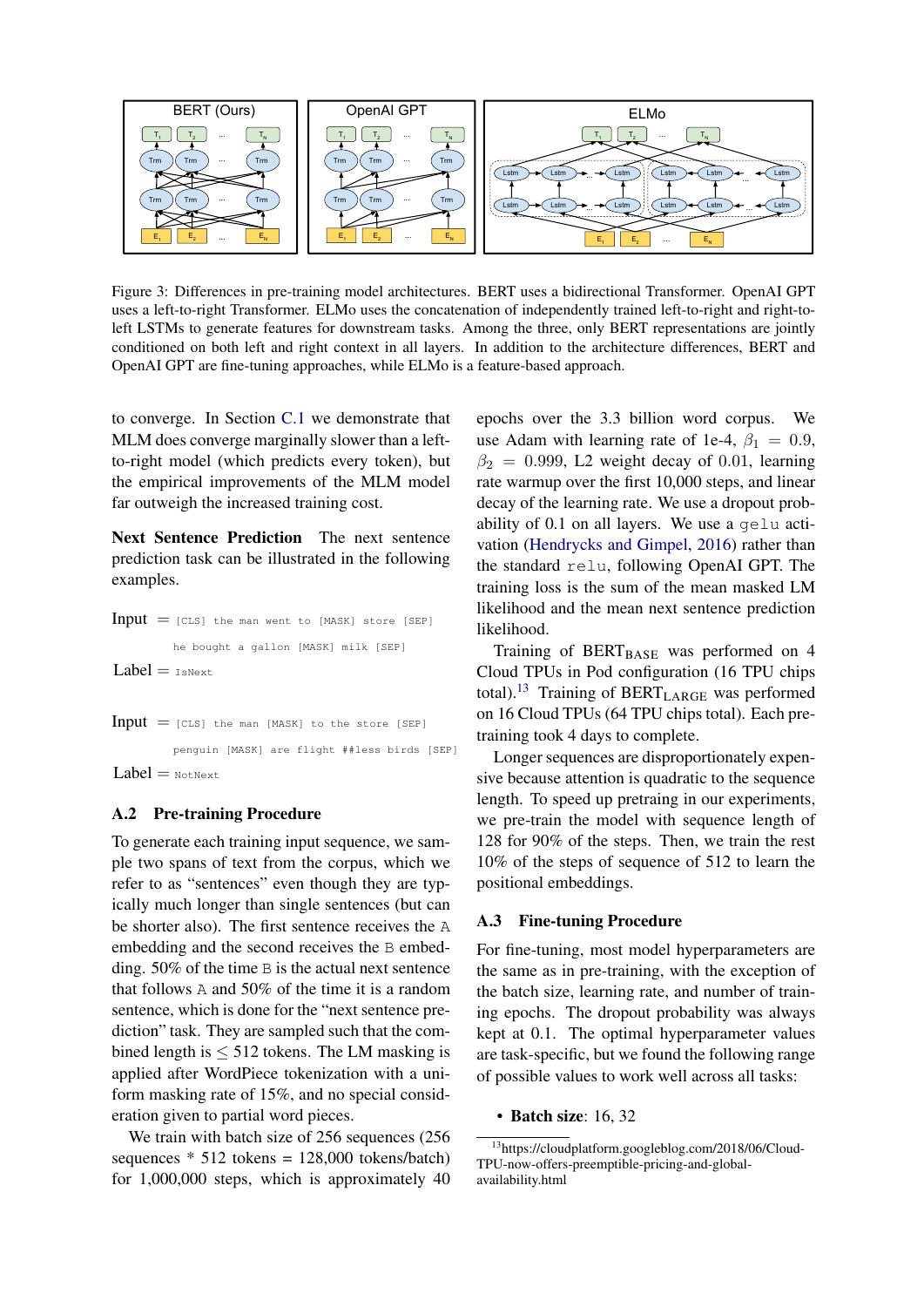<span id="page-12-1"></span>

Figure 3: Differences in pre-training model architectures. BERT uses a bidirectional Transformer. OpenAI GPT uses a left-to-right Transformer. ELMo uses the concatenation of independently trained left-to-right and right-toleft LSTMs to generate features for downstream tasks. Among the three, only BERT representations are jointly conditioned on both left and right context in all layers. In addition to the architecture differences, BERT and OpenAI GPT are fine-tuning approaches, while ELMo is a feature-based approach.

to converge. In Section [C.1](#page-15-2) we demonstrate that MLM does converge marginally slower than a leftto-right model (which predicts every token), but the empirical improvements of the MLM model far outweigh the increased training cost.

Next Sentence Prediction The next sentence prediction task can be illustrated in the following examples.

 $Input = [CLS]$  the man went to  $[MASK]$  store  $[SEP]$ he bought a gallon [MASK] milk [SEP]  $Label = <sub>ISNext</sub>$ 

 $Input = [CLS]$  the man [MASK] to the store [SEP] penguin [MASK] are flight ##less birds [SEP]  $Label =$  NotNext

### A.2 Pre-training Procedure

To generate each training input sequence, we sample two spans of text from the corpus, which we refer to as "sentences" even though they are typically much longer than single sentences (but can be shorter also). The first sentence receives the A embedding and the second receives the B embedding. 50% of the time B is the actual next sentence that follows A and 50% of the time it is a random sentence, which is done for the "next sentence prediction" task. They are sampled such that the combined length is  $\leq 512$  tokens. The LM masking is applied after WordPiece tokenization with a uniform masking rate of 15%, and no special consideration given to partial word pieces.

We train with batch size of 256 sequences (256 sequences  $* 512$  tokens = 128,000 tokens/batch) for 1,000,000 steps, which is approximately 40 epochs over the 3.3 billion word corpus. We use Adam with learning rate of 1e-4,  $\beta_1 = 0.9$ ,  $\beta_2 = 0.999$ , L2 weight decay of 0.01, learning rate warmup over the first 10,000 steps, and linear decay of the learning rate. We use a dropout probability of 0.1 on all layers. We use a gelu activation [\(Hendrycks and Gimpel,](#page-9-19) [2016\)](#page-9-19) rather than the standard relu, following OpenAI GPT. The training loss is the sum of the mean masked LM likelihood and the mean next sentence prediction likelihood.

Training of BERT<sub>BASE</sub> was performed on 4 Cloud TPUs in Pod configuration (16 TPU chips total).<sup>[13](#page-12-0)</sup> Training of  $BERT_{LARGE}$  was performed on 16 Cloud TPUs (64 TPU chips total). Each pretraining took 4 days to complete.

Longer sequences are disproportionately expensive because attention is quadratic to the sequence length. To speed up pretraing in our experiments, we pre-train the model with sequence length of 128 for 90% of the steps. Then, we train the rest 10% of the steps of sequence of 512 to learn the positional embeddings.

### A.3 Fine-tuning Procedure

For fine-tuning, most model hyperparameters are the same as in pre-training, with the exception of the batch size, learning rate, and number of training epochs. The dropout probability was always kept at 0.1. The optimal hyperparameter values are task-specific, but we found the following range of possible values to work well across all tasks:

<sup>•</sup> Batch size: 16, 32

<span id="page-12-0"></span><sup>13</sup>https://cloudplatform.googleblog.com/2018/06/Cloud-TPU-now-offers-preemptible-pricing-and-globalavailability.html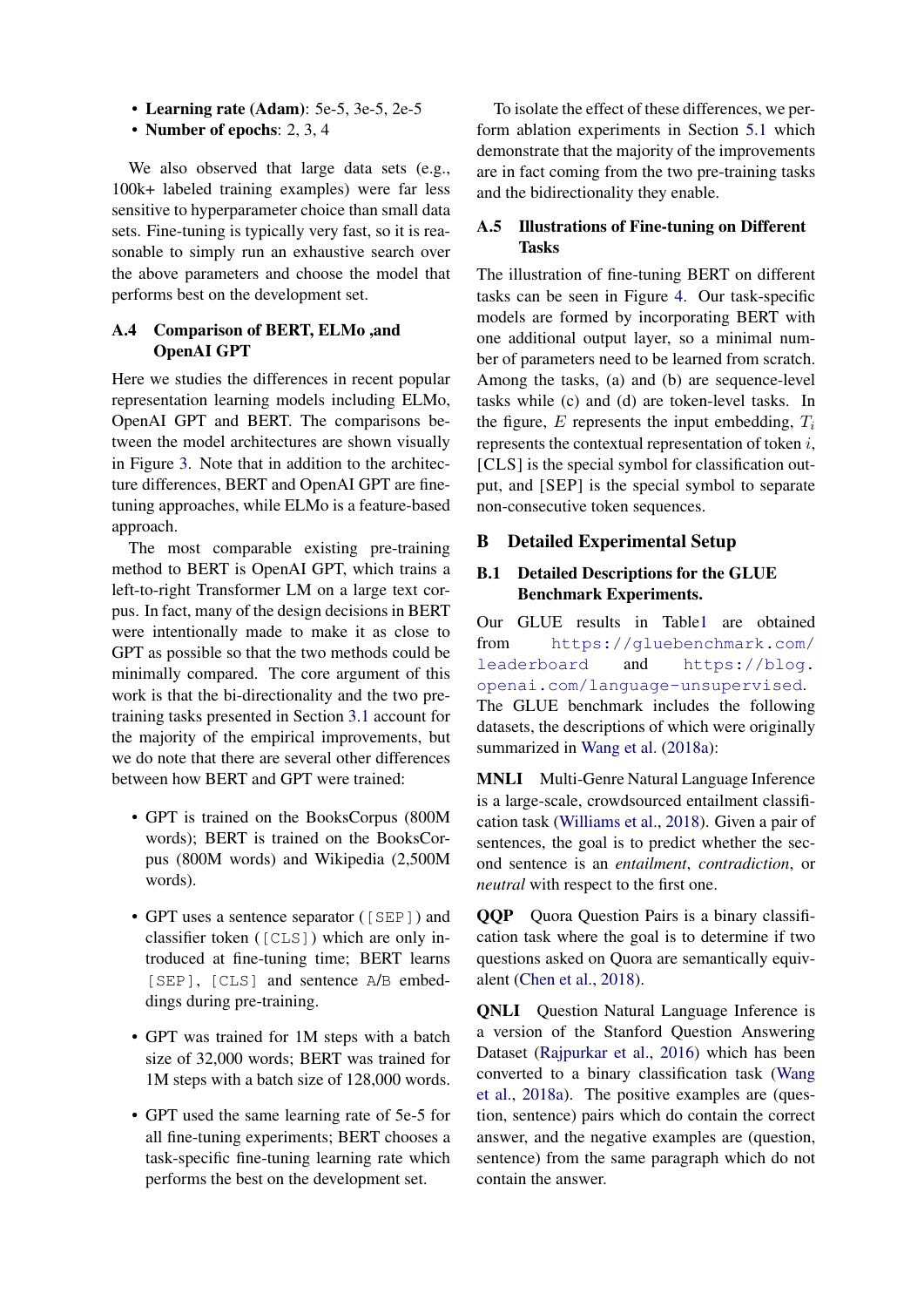• Learning rate (Adam): 5e-5, 3e-5, 2e-5

• Number of epochs: 2, 3, 4

We also observed that large data sets (e.g., 100k+ labeled training examples) were far less sensitive to hyperparameter choice than small data sets. Fine-tuning is typically very fast, so it is reasonable to simply run an exhaustive search over the above parameters and choose the model that performs best on the development set.

## A.4 Comparison of BERT, ELMo ,and OpenAI GPT

Here we studies the differences in recent popular representation learning models including ELMo, OpenAI GPT and BERT. The comparisons between the model architectures are shown visually in Figure [3.](#page-12-1) Note that in addition to the architecture differences, BERT and OpenAI GPT are finetuning approaches, while ELMo is a feature-based approach.

The most comparable existing pre-training method to BERT is OpenAI GPT, which trains a left-to-right Transformer LM on a large text corpus. In fact, many of the design decisions in BERT were intentionally made to make it as close to GPT as possible so that the two methods could be minimally compared. The core argument of this work is that the bi-directionality and the two pretraining tasks presented in Section [3.1](#page-3-2) account for the majority of the empirical improvements, but we do note that there are several other differences between how BERT and GPT were trained:

- GPT is trained on the BooksCorpus (800M words); BERT is trained on the BooksCorpus (800M words) and Wikipedia (2,500M words).
- GPT uses a sentence separator ([SEP]) and classifier token ([CLS]) which are only introduced at fine-tuning time; BERT learns [SEP], [CLS] and sentence A/B embeddings during pre-training.
- GPT was trained for 1M steps with a batch size of 32,000 words; BERT was trained for 1M steps with a batch size of 128,000 words.
- GPT used the same learning rate of 5e-5 for all fine-tuning experiments; BERT chooses a task-specific fine-tuning learning rate which performs the best on the development set.

To isolate the effect of these differences, we perform ablation experiments in Section [5.1](#page-7-0) which demonstrate that the majority of the improvements are in fact coming from the two pre-training tasks and the bidirectionality they enable.

## <span id="page-13-0"></span>A.5 Illustrations of Fine-tuning on Different Tasks

The illustration of fine-tuning BERT on different tasks can be seen in Figure [4.](#page-14-0) Our task-specific models are formed by incorporating BERT with one additional output layer, so a minimal number of parameters need to be learned from scratch. Among the tasks, (a) and (b) are sequence-level tasks while (c) and (d) are token-level tasks. In the figure,  $E$  represents the input embedding,  $T_i$ represents the contextual representation of token  $i$ , [CLS] is the special symbol for classification output, and [SEP] is the special symbol to separate non-consecutive token sequences.

## <span id="page-13-2"></span>B Detailed Experimental Setup

## <span id="page-13-1"></span>B.1 Detailed Descriptions for the GLUE Benchmark Experiments.

Our GLUE results in Tabl[e1](#page-5-1) are obtained from [https://gluebenchmark.com/](https://gluebenchmark.com/leaderboard) [leaderboard](https://gluebenchmark.com/leaderboard) and [https://blog.](https://blog.openai.com/language-unsupervised) [openai.com/language-unsupervised](https://blog.openai.com/language-unsupervised). The GLUE benchmark includes the following datasets, the descriptions of which were originally summarized in [Wang et al.](#page-10-16) [\(2018a\)](#page-10-16):

MNLI Multi-Genre Natural Language Inference is a large-scale, crowdsourced entailment classification task [\(Williams et al.,](#page-11-0) [2018\)](#page-11-0). Given a pair of sentences, the goal is to predict whether the second sentence is an *entailment*, *contradiction*, or *neutral* with respect to the first one.

QQP Quora Question Pairs is a binary classification task where the goal is to determine if two questions asked on Quora are semantically equivalent [\(Chen et al.,](#page-9-20) [2018\)](#page-9-20).

QNLI Question Natural Language Inference is a version of the Stanford Question Answering Dataset [\(Rajpurkar et al.,](#page-10-3) [2016\)](#page-10-3) which has been converted to a binary classification task [\(Wang](#page-10-16) [et al.,](#page-10-16) [2018a\)](#page-10-16). The positive examples are (question, sentence) pairs which do contain the correct answer, and the negative examples are (question, sentence) from the same paragraph which do not contain the answer.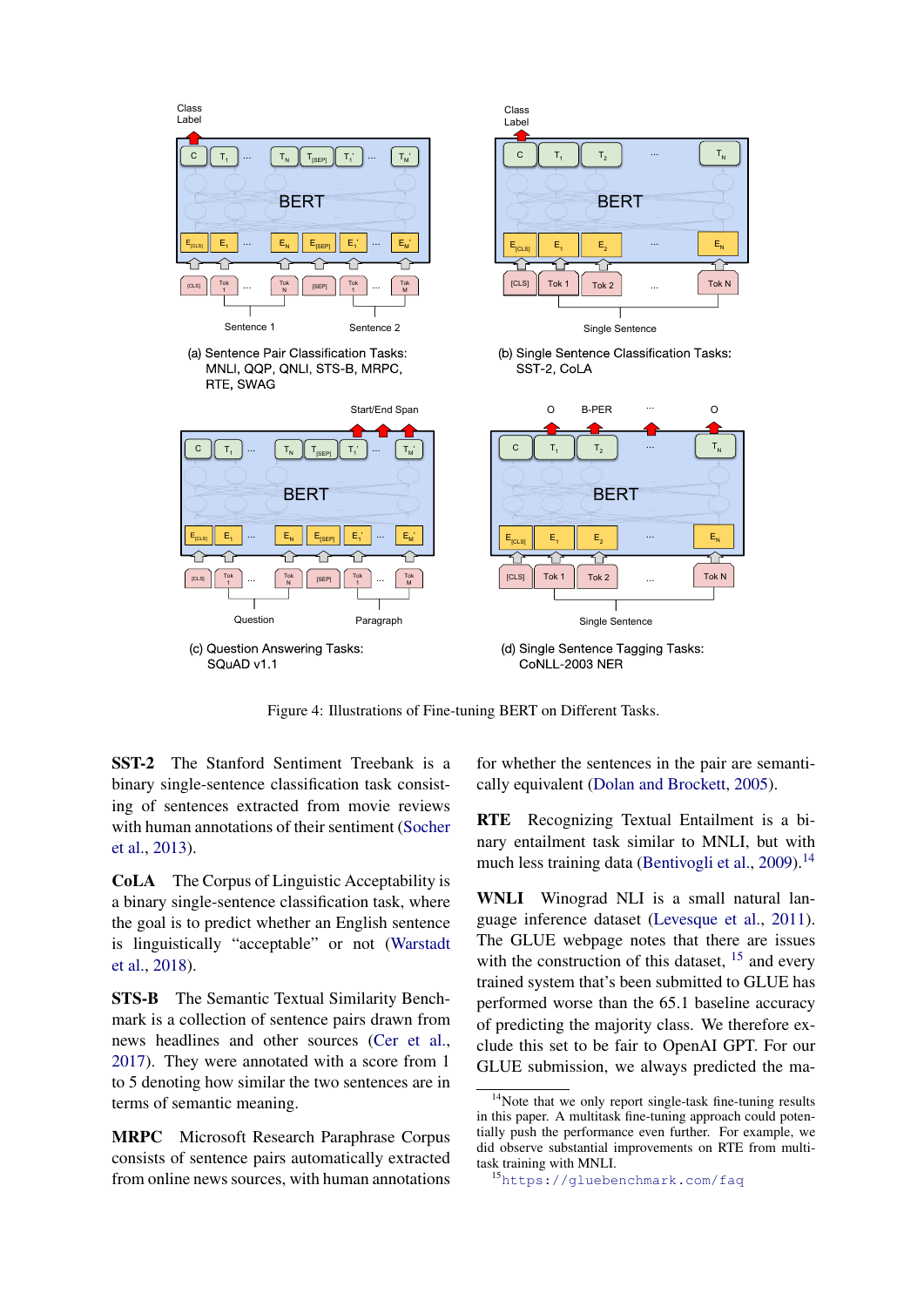<span id="page-14-0"></span>

Figure 4: Illustrations of Fine-tuning BERT on Different Tasks.

SST-2 The Stanford Sentiment Treebank is a binary single-sentence classification task consisting of sentences extracted from movie reviews with human annotations of their sentiment [\(Socher](#page-10-14) [et al.,](#page-10-14) [2013\)](#page-10-14).

CoLA The Corpus of Linguistic Acceptability is a binary single-sentence classification task, where the goal is to predict whether an English sentence is linguistically "acceptable" or not [\(Warstadt](#page-11-8) [et al.,](#page-11-8) [2018\)](#page-11-8).

STS-B The Semantic Textual Similarity Benchmark is a collection of sentence pairs drawn from news headlines and other sources [\(Cer et al.,](#page-9-21) [2017\)](#page-9-21). They were annotated with a score from 1 to 5 denoting how similar the two sentences are in terms of semantic meaning.

MRPC Microsoft Research Paraphrase Corpus consists of sentence pairs automatically extracted from online news sources, with human annotations for whether the sentences in the pair are semantically equivalent [\(Dolan and Brockett,](#page-9-3) [2005\)](#page-9-3).

RTE Recognizing Textual Entailment is a binary entailment task similar to MNLI, but with much less training data [\(Bentivogli et al.,](#page-9-22) [2009\)](#page-9-22).<sup>[14](#page-14-1)</sup>

WNLI Winograd NLI is a small natural language inference dataset [\(Levesque et al.,](#page-10-24) [2011\)](#page-10-24). The GLUE webpage notes that there are issues with the construction of this dataset,  $15$  and every trained system that's been submitted to GLUE has performed worse than the 65.1 baseline accuracy of predicting the majority class. We therefore exclude this set to be fair to OpenAI GPT. For our GLUE submission, we always predicted the ma-

<span id="page-14-1"></span><sup>&</sup>lt;sup>14</sup>Note that we only report single-task fine-tuning results in this paper. A multitask fine-tuning approach could potentially push the performance even further. For example, we did observe substantial improvements on RTE from multitask training with MNLI.

<span id="page-14-2"></span><sup>15</sup><https://gluebenchmark.com/faq>